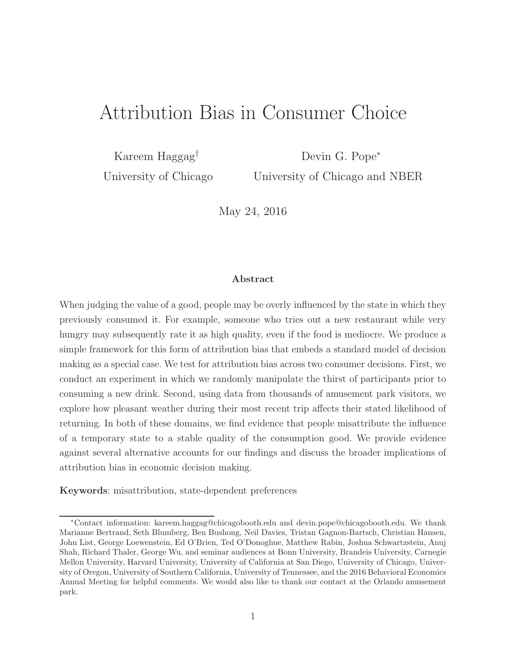# Attribution Bias in Consumer Choice

Kareem Haggag† Devin G. Pope<sup>∗</sup>

University of Chicago University of Chicago and NBER

May 24, 2016

#### Abstract

When judging the value of a good, people may be overly influenced by the state in which they previously consumed it. For example, someone who tries out a new restaurant while very hungry may subsequently rate it as high quality, even if the food is mediocre. We produce a simple framework for this form of attribution bias that embeds a standard model of decision making as a special case. We test for attribution bias across two consumer decisions. First, we conduct an experiment in which we randomly manipulate the thirst of participants prior to consuming a new drink. Second, using data from thousands of amusement park visitors, we explore how pleasant weather during their most recent trip affects their stated likelihood of returning. In both of these domains, we find evidence that people misattribute the influence of a temporary state to a stable quality of the consumption good. We provide evidence against several alternative accounts for our findings and discuss the broader implications of attribution bias in economic decision making.

Keywords: misattribution, state-dependent preferences

<sup>∗</sup>Contact information: kareem.haggag@chicagobooth.edu and devin.pope@chicagobooth.edu. We thank Marianne Bertrand, Seth Blumberg, Ben Bushong, Neil Davies, Tristan Gagnon-Bartsch, Christian Hansen, John List, George Loewenstein, Ed O'Brien, Ted O'Donoghue, Matthew Rabin, Joshua Schwartzstein, Anuj Shah, Richard Thaler, George Wu, and seminar audiences at Bonn University, Brandeis University, Carnegie Mellon University, Harvard University, University of California at San Diego, University of Chicago, University of Oregon, University of Southern California, University of Tennessee, and the 2016 Behavioral Economics Annual Meeting for helpful comments. We would also like to thank our contact at the Orlando amusement park.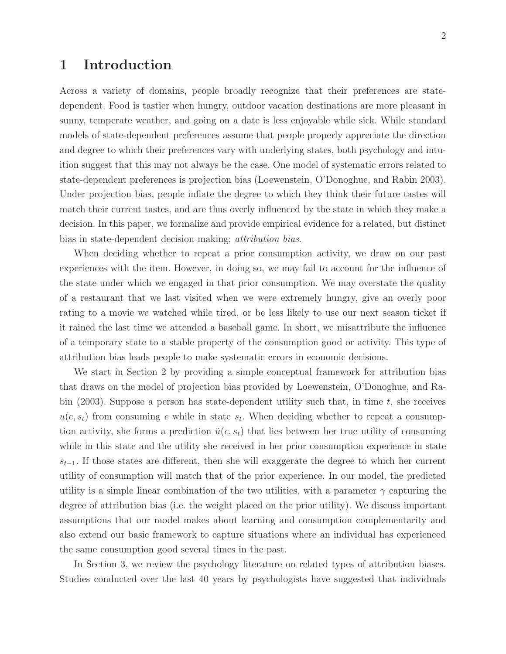### 1 Introduction

Across a variety of domains, people broadly recognize that their preferences are statedependent. Food is tastier when hungry, outdoor vacation destinations are more pleasant in sunny, temperate weather, and going on a date is less enjoyable while sick. While standard models of state-dependent preferences assume that people properly appreciate the direction and degree to which their preferences vary with underlying states, both psychology and intuition suggest that this may not always be the case. One model of systematic errors related to state-dependent preferences is projection bias (Loewenstein, O'Donoghue, and Rabin 2003). Under projection bias, people inflate the degree to which they think their future tastes will match their current tastes, and are thus overly influenced by the state in which they make a decision. In this paper, we formalize and provide empirical evidence for a related, but distinct bias in state-dependent decision making: attribution bias.

When deciding whether to repeat a prior consumption activity, we draw on our past experiences with the item. However, in doing so, we may fail to account for the influence of the state under which we engaged in that prior consumption. We may overstate the quality of a restaurant that we last visited when we were extremely hungry, give an overly poor rating to a movie we watched while tired, or be less likely to use our next season ticket if it rained the last time we attended a baseball game. In short, we misattribute the influence of a temporary state to a stable property of the consumption good or activity. This type of attribution bias leads people to make systematic errors in economic decisions.

We start in Section 2 by providing a simple conceptual framework for attribution bias that draws on the model of projection bias provided by Loewenstein, O'Donoghue, and Rabin (2003). Suppose a person has state-dependent utility such that, in time  $t$ , she receives  $u(c, s_t)$  from consuming c while in state  $s_t$ . When deciding whether to repeat a consumption activity, she forms a prediction  $\tilde{u}(c, s_t)$  that lies between her true utility of consuming while in this state and the utility she received in her prior consumption experience in state  $s_{t-1}$ . If those states are different, then she will exaggerate the degree to which her current utility of consumption will match that of the prior experience. In our model, the predicted utility is a simple linear combination of the two utilities, with a parameter  $\gamma$  capturing the degree of attribution bias (i.e. the weight placed on the prior utility). We discuss important assumptions that our model makes about learning and consumption complementarity and also extend our basic framework to capture situations where an individual has experienced the same consumption good several times in the past.

In Section 3, we review the psychology literature on related types of attribution biases. Studies conducted over the last 40 years by psychologists have suggested that individuals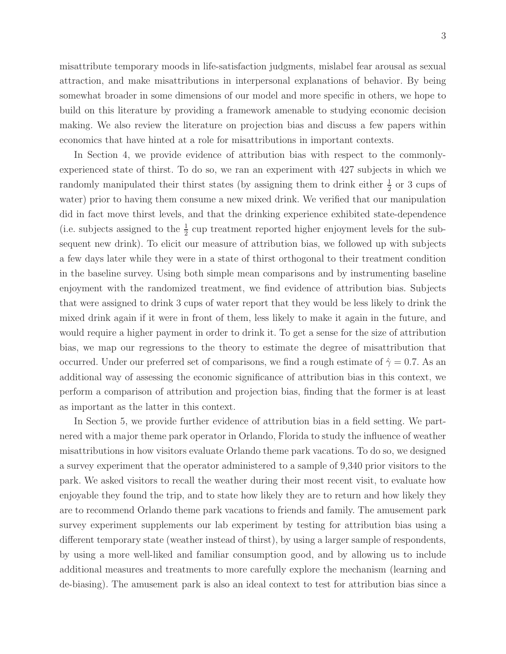misattribute temporary moods in life-satisfaction judgments, mislabel fear arousal as sexual attraction, and make misattributions in interpersonal explanations of behavior. By being somewhat broader in some dimensions of our model and more specific in others, we hope to build on this literature by providing a framework amenable to studying economic decision making. We also review the literature on projection bias and discuss a few papers within economics that have hinted at a role for misattributions in important contexts.

In Section 4, we provide evidence of attribution bias with respect to the commonlyexperienced state of thirst. To do so, we ran an experiment with 427 subjects in which we randomly manipulated their thirst states (by assigning them to drink either  $\frac{1}{2}$  or 3 cups of water) prior to having them consume a new mixed drink. We verified that our manipulation did in fact move thirst levels, and that the drinking experience exhibited state-dependence (i.e. subjects assigned to the  $\frac{1}{2}$  cup treatment reported higher enjoyment levels for the subsequent new drink). To elicit our measure of attribution bias, we followed up with subjects a few days later while they were in a state of thirst orthogonal to their treatment condition in the baseline survey. Using both simple mean comparisons and by instrumenting baseline enjoyment with the randomized treatment, we find evidence of attribution bias. Subjects that were assigned to drink 3 cups of water report that they would be less likely to drink the mixed drink again if it were in front of them, less likely to make it again in the future, and would require a higher payment in order to drink it. To get a sense for the size of attribution bias, we map our regressions to the theory to estimate the degree of misattribution that occurred. Under our preferred set of comparisons, we find a rough estimate of  $\hat{\gamma} = 0.7$ . As an additional way of assessing the economic significance of attribution bias in this context, we perform a comparison of attribution and projection bias, finding that the former is at least as important as the latter in this context.

In Section 5, we provide further evidence of attribution bias in a field setting. We partnered with a major theme park operator in Orlando, Florida to study the influence of weather misattributions in how visitors evaluate Orlando theme park vacations. To do so, we designed a survey experiment that the operator administered to a sample of 9,340 prior visitors to the park. We asked visitors to recall the weather during their most recent visit, to evaluate how enjoyable they found the trip, and to state how likely they are to return and how likely they are to recommend Orlando theme park vacations to friends and family. The amusement park survey experiment supplements our lab experiment by testing for attribution bias using a different temporary state (weather instead of thirst), by using a larger sample of respondents, by using a more well-liked and familiar consumption good, and by allowing us to include additional measures and treatments to more carefully explore the mechanism (learning and de-biasing). The amusement park is also an ideal context to test for attribution bias since a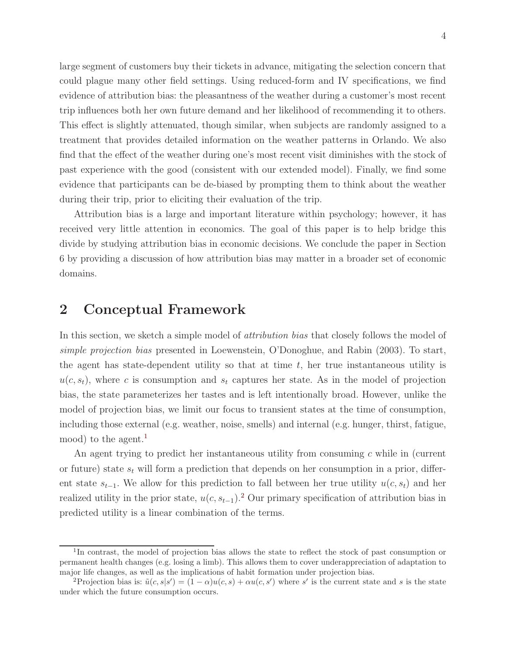large segment of customers buy their tickets in advance, mitigating the selection concern that could plague many other field settings. Using reduced-form and IV specifications, we find evidence of attribution bias: the pleasantness of the weather during a customer's most recent trip influences both her own future demand and her likelihood of recommending it to others. This effect is slightly attenuated, though similar, when subjects are randomly assigned to a treatment that provides detailed information on the weather patterns in Orlando. We also find that the effect of the weather during one's most recent visit diminishes with the stock of past experience with the good (consistent with our extended model). Finally, we find some evidence that participants can be de-biased by prompting them to think about the weather during their trip, prior to eliciting their evaluation of the trip.

Attribution bias is a large and important literature within psychology; however, it has received very little attention in economics. The goal of this paper is to help bridge this divide by studying attribution bias in economic decisions. We conclude the paper in Section 6 by providing a discussion of how attribution bias may matter in a broader set of economic domains.

### 2 Conceptual Framework

In this section, we sketch a simple model of *attribution bias* that closely follows the model of simple projection bias presented in Loewenstein, O'Donoghue, and Rabin (2003). To start, the agent has state-dependent utility so that at time  $t$ , her true instantaneous utility is  $u(c, s_t)$ , where c is consumption and  $s_t$  captures her state. As in the model of projection bias, the state parameterizes her tastes and is left intentionally broad. However, unlike the model of projection bias, we limit our focus to transient states at the time of consumption, including those external (e.g. weather, noise, smells) and internal (e.g. hunger, thirst, fatigue, mood) to the agent.<sup>[1](#page-3-0)</sup>

An agent trying to predict her instantaneous utility from consuming c while in (current or future) state  $s_t$  will form a prediction that depends on her consumption in a prior, different state  $s_{t-1}$ . We allow for this prediction to fall between her true utility  $u(c, s_t)$  and her realized utility in the prior state,  $u(c, s_{t-1})$ .<sup>[2](#page-3-1)</sup> Our primary specification of attribution bias in predicted utility is a linear combination of the terms.

<span id="page-3-0"></span><sup>&</sup>lt;sup>1</sup>In contrast, the model of projection bias allows the state to reflect the stock of past consumption or permanent health changes (e.g. losing a limb). This allows them to cover underappreciation of adaptation to major life changes, as well as the implications of habit formation under projection bias.

<span id="page-3-1"></span><sup>&</sup>lt;sup>2</sup>Projection bias is:  $\tilde{u}(c, s|s') = (1-\alpha)u(c, s) + \alpha u(c, s')$  where s' is the current state and s is the state under which the future consumption occurs.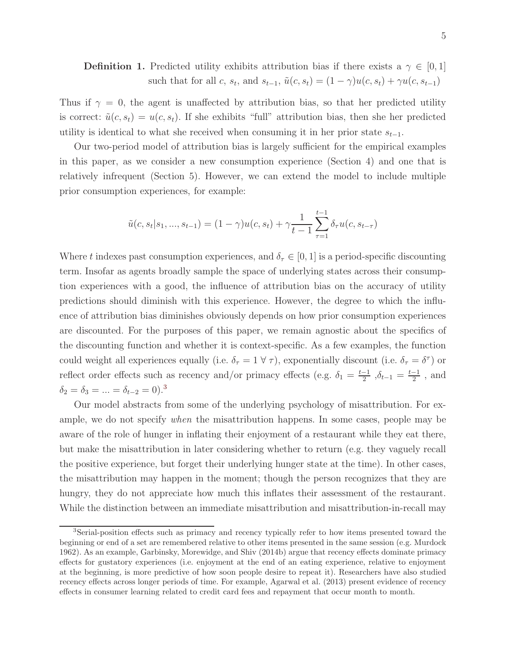**Definition 1.** Predicted utility exhibits attribution bias if there exists a  $\gamma \in [0,1]$ such that for all c,  $s_t$ , and  $s_{t-1}$ ,  $\tilde{u}(c, s_t) = (1 - \gamma)u(c, s_t) + \gamma u(c, s_{t-1})$ 

Thus if  $\gamma = 0$ , the agent is unaffected by attribution bias, so that her predicted utility is correct:  $\tilde{u}(c, s_t) = u(c, s_t)$ . If she exhibits "full" attribution bias, then she her predicted utility is identical to what she received when consuming it in her prior state  $s_{t-1}$ .

Our two-period model of attribution bias is largely sufficient for the empirical examples in this paper, as we consider a new consumption experience (Section 4) and one that is relatively infrequent (Section 5). However, we can extend the model to include multiple prior consumption experiences, for example:

$$
\tilde{u}(c, s_t|s_1, ..., s_{t-1}) = (1 - \gamma)u(c, s_t) + \gamma \frac{1}{t-1} \sum_{\tau=1}^{t-1} \delta_\tau u(c, s_{t-\tau})
$$

Where t indexes past consumption experiences, and  $\delta_{\tau} \in [0,1]$  is a period-specific discounting term. Insofar as agents broadly sample the space of underlying states across their consumption experiences with a good, the influence of attribution bias on the accuracy of utility predictions should diminish with this experience. However, the degree to which the influence of attribution bias diminishes obviously depends on how prior consumption experiences are discounted. For the purposes of this paper, we remain agnostic about the specifics of the discounting function and whether it is context-specific. As a few examples, the function could weight all experiences equally (i.e.  $\delta_{\tau} = 1 \forall \tau$ ), exponentially discount (i.e.  $\delta_{\tau} = \delta^{\tau}$ ) or reflect order effects such as recency and/or primacy effects (e.g.  $\delta_1 = \frac{t-1}{2}$  $\frac{-1}{2}$ ,  $\delta_{t-1} = \frac{t-1}{2}$  $\frac{-1}{2}$ , and  $\delta_2=\delta_3=...=\delta_{t-2}=0).^3$  $\delta_2=\delta_3=...=\delta_{t-2}=0).^3$  $\delta_2=\delta_3=...=\delta_{t-2}=0).^3$ 

Our model abstracts from some of the underlying psychology of misattribution. For example, we do not specify when the misattribution happens. In some cases, people may be aware of the role of hunger in inflating their enjoyment of a restaurant while they eat there, but make the misattribution in later considering whether to return (e.g. they vaguely recall the positive experience, but forget their underlying hunger state at the time). In other cases, the misattribution may happen in the moment; though the person recognizes that they are hungry, they do not appreciate how much this inflates their assessment of the restaurant. While the distinction between an immediate misattribution and misattribution-in-recall may

<span id="page-4-0"></span><sup>3</sup>Serial-position effects such as primacy and recency typically refer to how items presented toward the beginning or end of a set are remembered relative to other items presented in the same session (e.g. Murdock 1962). As an example, Garbinsky, Morewidge, and Shiv (2014b) argue that recency effects dominate primacy effects for gustatory experiences (i.e. enjoyment at the end of an eating experience, relative to enjoyment at the beginning, is more predictive of how soon people desire to repeat it). Researchers have also studied recency effects across longer periods of time. For example, Agarwal et al. (2013) present evidence of recency effects in consumer learning related to credit card fees and repayment that occur month to month.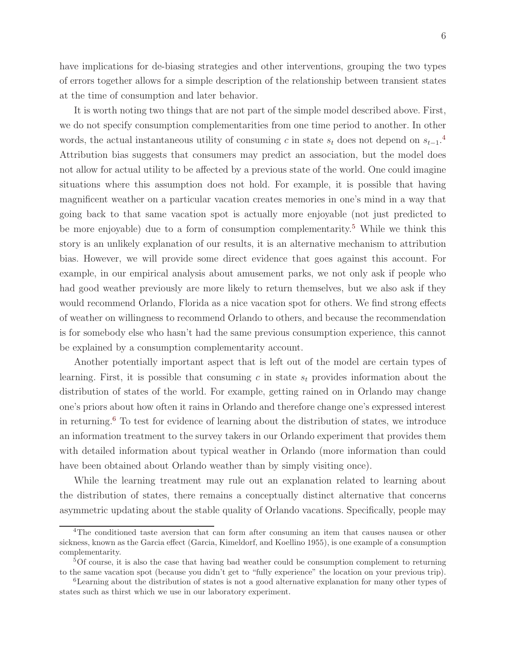have implications for de-biasing strategies and other interventions, grouping the two types of errors together allows for a simple description of the relationship between transient states at the time of consumption and later behavior.

It is worth noting two things that are not part of the simple model described above. First, we do not specify consumption complementarities from one time period to another. In other words, the actual instantaneous utility of consuming c in state  $s_t$  does not depend on  $s_{t-1}$ .<sup>[4](#page-5-0)</sup> Attribution bias suggests that consumers may predict an association, but the model does not allow for actual utility to be affected by a previous state of the world. One could imagine situations where this assumption does not hold. For example, it is possible that having magnificent weather on a particular vacation creates memories in one's mind in a way that going back to that same vacation spot is actually more enjoyable (not just predicted to be more enjoyable) due to a form of consumption complementarity.<sup>[5](#page-5-1)</sup> While we think this story is an unlikely explanation of our results, it is an alternative mechanism to attribution bias. However, we will provide some direct evidence that goes against this account. For example, in our empirical analysis about amusement parks, we not only ask if people who had good weather previously are more likely to return themselves, but we also ask if they would recommend Orlando, Florida as a nice vacation spot for others. We find strong effects of weather on willingness to recommend Orlando to others, and because the recommendation is for somebody else who hasn't had the same previous consumption experience, this cannot be explained by a consumption complementarity account.

Another potentially important aspect that is left out of the model are certain types of learning. First, it is possible that consuming c in state  $s_t$  provides information about the distribution of states of the world. For example, getting rained on in Orlando may change one's priors about how often it rains in Orlando and therefore change one's expressed interest in returning.[6](#page-5-2) To test for evidence of learning about the distribution of states, we introduce an information treatment to the survey takers in our Orlando experiment that provides them with detailed information about typical weather in Orlando (more information than could have been obtained about Orlando weather than by simply visiting once).

While the learning treatment may rule out an explanation related to learning about the distribution of states, there remains a conceptually distinct alternative that concerns asymmetric updating about the stable quality of Orlando vacations. Specifically, people may

<span id="page-5-0"></span><sup>&</sup>lt;sup>4</sup>The conditioned taste aversion that can form after consuming an item that causes nausea or other sickness, known as the Garcia effect (Garcia, Kimeldorf, and Koellino 1955), is one example of a consumption complementarity.

<span id="page-5-1"></span><sup>5</sup>Of course, it is also the case that having bad weather could be consumption complement to returning to the same vacation spot (because you didn't get to "fully experience" the location on your previous trip).

<span id="page-5-2"></span><sup>6</sup>Learning about the distribution of states is not a good alternative explanation for many other types of states such as thirst which we use in our laboratory experiment.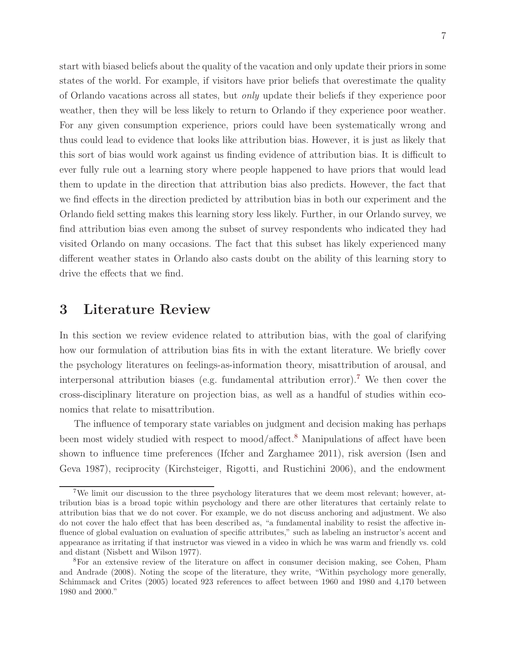start with biased beliefs about the quality of the vacation and only update their priors in some states of the world. For example, if visitors have prior beliefs that overestimate the quality of Orlando vacations across all states, but only update their beliefs if they experience poor weather, then they will be less likely to return to Orlando if they experience poor weather. For any given consumption experience, priors could have been systematically wrong and thus could lead to evidence that looks like attribution bias. However, it is just as likely that this sort of bias would work against us finding evidence of attribution bias. It is difficult to ever fully rule out a learning story where people happened to have priors that would lead them to update in the direction that attribution bias also predicts. However, the fact that we find effects in the direction predicted by attribution bias in both our experiment and the Orlando field setting makes this learning story less likely. Further, in our Orlando survey, we find attribution bias even among the subset of survey respondents who indicated they had visited Orlando on many occasions. The fact that this subset has likely experienced many different weather states in Orlando also casts doubt on the ability of this learning story to drive the effects that we find.

### 3 Literature Review

In this section we review evidence related to attribution bias, with the goal of clarifying how our formulation of attribution bias fits in with the extant literature. We briefly cover the psychology literatures on feelings-as-information theory, misattribution of arousal, and interpersonal attribution biases (e.g. fundamental attribution error).[7](#page-6-0) We then cover the cross-disciplinary literature on projection bias, as well as a handful of studies within economics that relate to misattribution.

The influence of temporary state variables on judgment and decision making has perhaps been most widely studied with respect to mood/affect.<sup>[8](#page-6-1)</sup> Manipulations of affect have been shown to influence time preferences (Ifcher and Zarghamee 2011), risk aversion (Isen and Geva 1987), reciprocity (Kirchsteiger, Rigotti, and Rustichini 2006), and the endowment

<span id="page-6-0"></span><sup>7</sup>We limit our discussion to the three psychology literatures that we deem most relevant; however, attribution bias is a broad topic within psychology and there are other literatures that certainly relate to attribution bias that we do not cover. For example, we do not discuss anchoring and adjustment. We also do not cover the halo effect that has been described as, "a fundamental inability to resist the affective influence of global evaluation on evaluation of specific attributes," such as labeling an instructor's accent and appearance as irritating if that instructor was viewed in a video in which he was warm and friendly vs. cold and distant (Nisbett and Wilson 1977).

<span id="page-6-1"></span><sup>8</sup>For an extensive review of the literature on affect in consumer decision making, see Cohen, Pham and Andrade (2008). Noting the scope of the literature, they write, "Within psychology more generally, Schimmack and Crites (2005) located 923 references to affect between 1960 and 1980 and 4,170 between 1980 and 2000."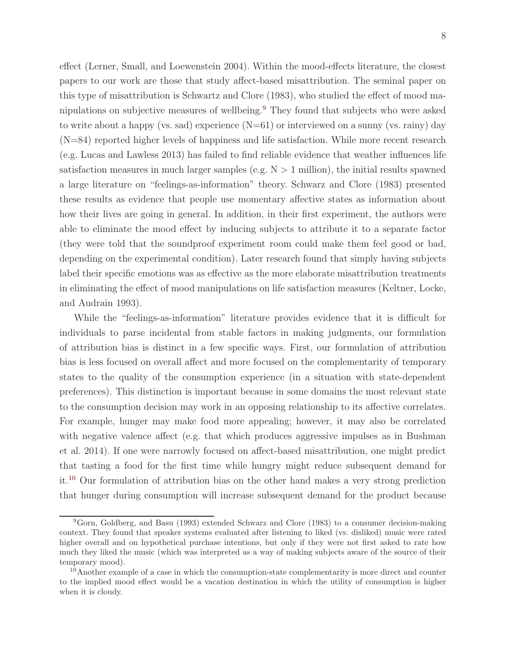effect (Lerner, Small, and Loewenstein 2004). Within the mood-effects literature, the closest papers to our work are those that study affect-based misattribution. The seminal paper on this type of misattribution is Schwartz and Clore (1983), who studied the effect of mood manipulations on subjective measures of wellbeing.[9](#page-7-0) They found that subjects who were asked to write about a happy (vs. sad) experience  $(N=61)$  or interviewed on a sunny (vs. rainy) day (N=84) reported higher levels of happiness and life satisfaction. While more recent research (e.g. Lucas and Lawless 2013) has failed to find reliable evidence that weather influences life satisfaction measures in much larger samples (e.g.  $N > 1$  million), the initial results spawned a large literature on "feelings-as-information" theory. Schwarz and Clore (1983) presented these results as evidence that people use momentary affective states as information about how their lives are going in general. In addition, in their first experiment, the authors were able to eliminate the mood effect by inducing subjects to attribute it to a separate factor (they were told that the soundproof experiment room could make them feel good or bad, depending on the experimental condition). Later research found that simply having subjects label their specific emotions was as effective as the more elaborate misattribution treatments in eliminating the effect of mood manipulations on life satisfaction measures (Keltner, Locke, and Audrain 1993).

While the "feelings-as-information" literature provides evidence that it is difficult for individuals to parse incidental from stable factors in making judgments, our formulation of attribution bias is distinct in a few specific ways. First, our formulation of attribution bias is less focused on overall affect and more focused on the complementarity of temporary states to the quality of the consumption experience (in a situation with state-dependent preferences). This distinction is important because in some domains the most relevant state to the consumption decision may work in an opposing relationship to its affective correlates. For example, hunger may make food more appealing; however, it may also be correlated with negative valence affect (e.g. that which produces aggressive impulses as in Bushman et al. 2014). If one were narrowly focused on affect-based misattribution, one might predict that tasting a food for the first time while hungry might reduce subsequent demand for it.[10](#page-7-1) Our formulation of attribution bias on the other hand makes a very strong prediction that hunger during consumption will increase subsequent demand for the product because

<span id="page-7-0"></span><sup>9</sup>Gorn, Goldberg, and Basu (1993) extended Schwarz and Clore (1983) to a consumer decision-making context. They found that speaker systems evaluated after listening to liked (vs. disliked) music were rated higher overall and on hypothetical purchase intentions, but only if they were not first asked to rate how much they liked the music (which was interpreted as a way of making subjects aware of the source of their temporary mood).

<span id="page-7-1"></span><sup>&</sup>lt;sup>10</sup>Another example of a case in which the consumption-state complementarity is more direct and counter to the implied mood effect would be a vacation destination in which the utility of consumption is higher when it is cloudy.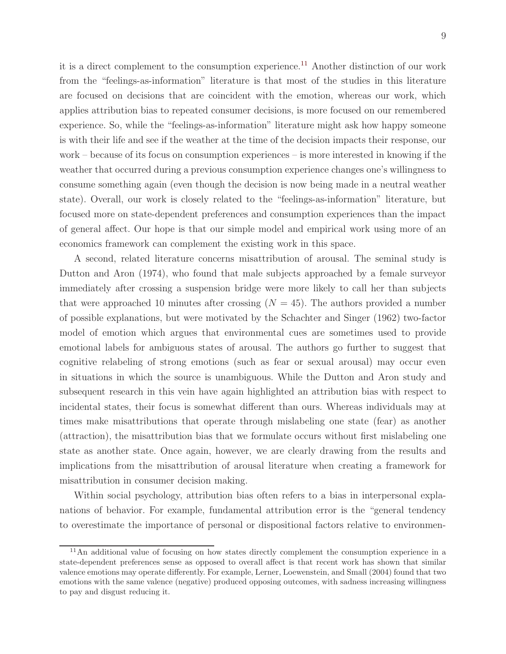it is a direct complement to the consumption experience.<sup>[11](#page-8-0)</sup> Another distinction of our work from the "feelings-as-information" literature is that most of the studies in this literature are focused on decisions that are coincident with the emotion, whereas our work, which applies attribution bias to repeated consumer decisions, is more focused on our remembered experience. So, while the "feelings-as-information" literature might ask how happy someone is with their life and see if the weather at the time of the decision impacts their response, our work – because of its focus on consumption experiences – is more interested in knowing if the weather that occurred during a previous consumption experience changes one's willingness to consume something again (even though the decision is now being made in a neutral weather state). Overall, our work is closely related to the "feelings-as-information" literature, but focused more on state-dependent preferences and consumption experiences than the impact of general affect. Our hope is that our simple model and empirical work using more of an economics framework can complement the existing work in this space.

A second, related literature concerns misattribution of arousal. The seminal study is Dutton and Aron (1974), who found that male subjects approached by a female surveyor immediately after crossing a suspension bridge were more likely to call her than subjects that were approached 10 minutes after crossing  $(N = 45)$ . The authors provided a number of possible explanations, but were motivated by the Schachter and Singer (1962) two-factor model of emotion which argues that environmental cues are sometimes used to provide emotional labels for ambiguous states of arousal. The authors go further to suggest that cognitive relabeling of strong emotions (such as fear or sexual arousal) may occur even in situations in which the source is unambiguous. While the Dutton and Aron study and subsequent research in this vein have again highlighted an attribution bias with respect to incidental states, their focus is somewhat different than ours. Whereas individuals may at times make misattributions that operate through mislabeling one state (fear) as another (attraction), the misattribution bias that we formulate occurs without first mislabeling one state as another state. Once again, however, we are clearly drawing from the results and implications from the misattribution of arousal literature when creating a framework for misattribution in consumer decision making.

Within social psychology, attribution bias often refers to a bias in interpersonal explanations of behavior. For example, fundamental attribution error is the "general tendency to overestimate the importance of personal or dispositional factors relative to environmen-

<span id="page-8-0"></span><sup>11</sup>An additional value of focusing on how states directly complement the consumption experience in a state-dependent preferences sense as opposed to overall affect is that recent work has shown that similar valence emotions may operate differently. For example, Lerner, Loewenstein, and Small (2004) found that two emotions with the same valence (negative) produced opposing outcomes, with sadness increasing willingness to pay and disgust reducing it.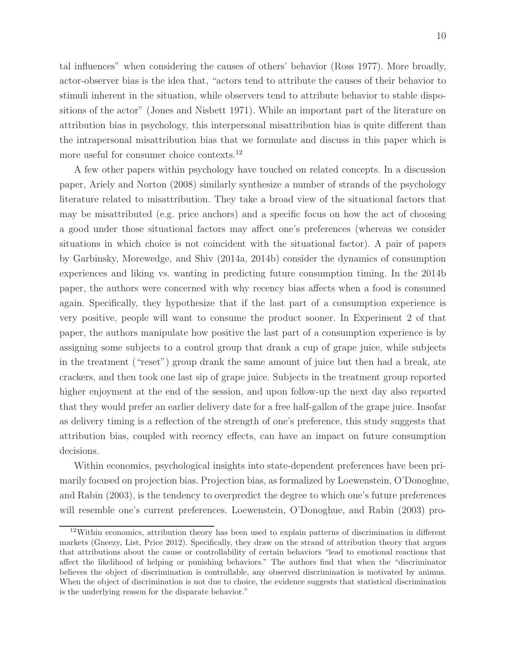tal influences" when considering the causes of others' behavior (Ross 1977). More broadly, actor-observer bias is the idea that, "actors tend to attribute the causes of their behavior to stimuli inherent in the situation, while observers tend to attribute behavior to stable dispositions of the actor" (Jones and Nisbett 1971). While an important part of the literature on attribution bias in psychology, this interpersonal misattribution bias is quite different than the intrapersonal misattribution bias that we formulate and discuss in this paper which is more useful for consumer choice contexts.<sup>[12](#page-9-0)</sup>

A few other papers within psychology have touched on related concepts. In a discussion paper, Ariely and Norton (2008) similarly synthesize a number of strands of the psychology literature related to misattribution. They take a broad view of the situational factors that may be misattributed (e.g. price anchors) and a specific focus on how the act of choosing a good under those situational factors may affect one's preferences (whereas we consider situations in which choice is not coincident with the situational factor). A pair of papers by Garbinsky, Morewedge, and Shiv (2014a, 2014b) consider the dynamics of consumption experiences and liking vs. wanting in predicting future consumption timing. In the 2014b paper, the authors were concerned with why recency bias affects when a food is consumed again. Specifically, they hypothesize that if the last part of a consumption experience is very positive, people will want to consume the product sooner. In Experiment 2 of that paper, the authors manipulate how positive the last part of a consumption experience is by assigning some subjects to a control group that drank a cup of grape juice, while subjects in the treatment ("reset") group drank the same amount of juice but then had a break, ate crackers, and then took one last sip of grape juice. Subjects in the treatment group reported higher enjoyment at the end of the session, and upon follow-up the next day also reported that they would prefer an earlier delivery date for a free half-gallon of the grape juice. Insofar as delivery timing is a reflection of the strength of one's preference, this study suggests that attribution bias, coupled with recency effects, can have an impact on future consumption decisions.

Within economics, psychological insights into state-dependent preferences have been primarily focused on projection bias. Projection bias, as formalized by Loewenstein, O'Donoghue, and Rabin (2003), is the tendency to overpredict the degree to which one's future preferences will resemble one's current preferences. Loewenstein, O'Donoghue, and Rabin (2003) pro-

<span id="page-9-0"></span> $12$ Within economics, attribution theory has been used to explain patterns of discrimination in different markets (Gneezy, List, Price 2012). Specifically, they draw on the strand of attribution theory that argues that attributions about the cause or controllability of certain behaviors "lead to emotional reactions that affect the likelihood of helping or punishing behaviors." The authors find that when the "discriminator believes the object of discrimination is controllable, any observed discrimination is motivated by animus. When the object of discrimination is not due to choice, the evidence suggests that statistical discrimination is the underlying reason for the disparate behavior."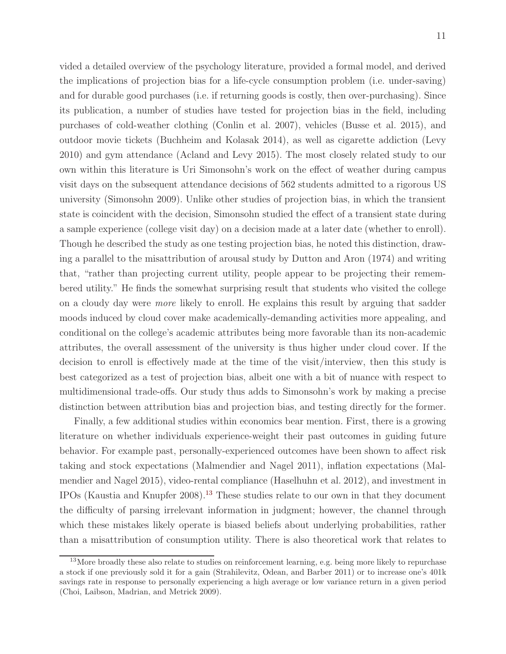vided a detailed overview of the psychology literature, provided a formal model, and derived the implications of projection bias for a life-cycle consumption problem (i.e. under-saving) and for durable good purchases (i.e. if returning goods is costly, then over-purchasing). Since its publication, a number of studies have tested for projection bias in the field, including purchases of cold-weather clothing (Conlin et al. 2007), vehicles (Busse et al. 2015), and outdoor movie tickets (Buchheim and Kolasak 2014), as well as cigarette addiction (Levy 2010) and gym attendance (Acland and Levy 2015). The most closely related study to our own within this literature is Uri Simonsohn's work on the effect of weather during campus visit days on the subsequent attendance decisions of 562 students admitted to a rigorous US university (Simonsohn 2009). Unlike other studies of projection bias, in which the transient state is coincident with the decision, Simonsohn studied the effect of a transient state during a sample experience (college visit day) on a decision made at a later date (whether to enroll). Though he described the study as one testing projection bias, he noted this distinction, drawing a parallel to the misattribution of arousal study by Dutton and Aron (1974) and writing that, "rather than projecting current utility, people appear to be projecting their remembered utility." He finds the somewhat surprising result that students who visited the college on a cloudy day were more likely to enroll. He explains this result by arguing that sadder moods induced by cloud cover make academically-demanding activities more appealing, and conditional on the college's academic attributes being more favorable than its non-academic attributes, the overall assessment of the university is thus higher under cloud cover. If the decision to enroll is effectively made at the time of the visit/interview, then this study is best categorized as a test of projection bias, albeit one with a bit of nuance with respect to multidimensional trade-offs. Our study thus adds to Simonsohn's work by making a precise distinction between attribution bias and projection bias, and testing directly for the former.

Finally, a few additional studies within economics bear mention. First, there is a growing literature on whether individuals experience-weight their past outcomes in guiding future behavior. For example past, personally-experienced outcomes have been shown to affect risk taking and stock expectations (Malmendier and Nagel 2011), inflation expectations (Malmendier and Nagel 2015), video-rental compliance (Haselhuhn et al. 2012), and investment in IPOs (Kaustia and Knupfer 2008).[13](#page-10-0) These studies relate to our own in that they document the difficulty of parsing irrelevant information in judgment; however, the channel through which these mistakes likely operate is biased beliefs about underlying probabilities, rather than a misattribution of consumption utility. There is also theoretical work that relates to

<span id="page-10-0"></span><sup>&</sup>lt;sup>13</sup>More broadly these also relate to studies on reinforcement learning, e.g. being more likely to repurchase a stock if one previously sold it for a gain (Strahilevitz, Odean, and Barber 2011) or to increase one's 401k savings rate in response to personally experiencing a high average or low variance return in a given period (Choi, Laibson, Madrian, and Metrick 2009).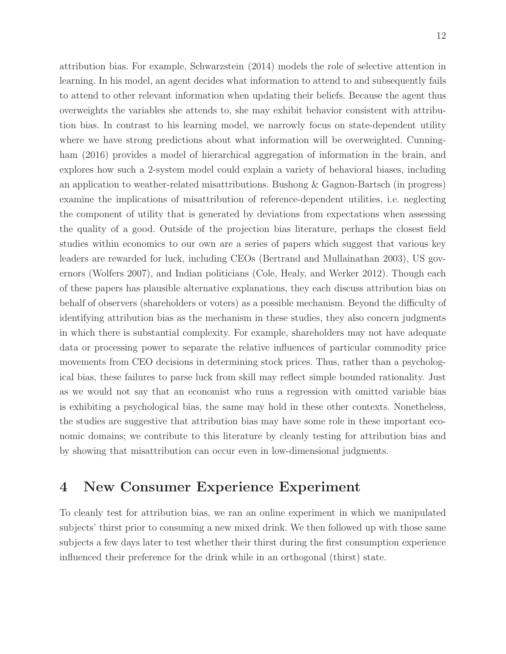attribution bias. For example, Schwarzstein (2014) models the role of selective attention in learning. In his model, an agent decides what information to attend to and subsequently fails to attend to other relevant information when updating their beliefs. Because the agent thus overweights the variables she attends to, she may exhibit behavior consistent with attribution bias. In contrast to his learning model, we narrowly focus on state-dependent utility where we have strong predictions about what information will be overweighted. Cunningham (2016) provides a model of hierarchical aggregation of information in the brain, and explores how such a 2-system model could explain a variety of behavioral biases, including an application to weather-related misattributions. Bushong & Gagnon-Bartsch (in progress) examine the implications of misattribution of reference-dependent utilities, i.e. neglecting the component of utility that is generated by deviations from expectations when assessing the quality of a good. Outside of the projection bias literature, perhaps the closest field studies within economics to our own are a series of papers which suggest that various key leaders are rewarded for luck, including CEOs (Bertrand and Mullainathan 2003), US governors (Wolfers 2007), and Indian politicians (Cole, Healy, and Werker 2012). Though each of these papers has plausible alternative explanations, they each discuss attribution bias on behalf of observers (shareholders or voters) as a possible mechanism. Beyond the difficulty of identifying attribution bias as the mechanism in these studies, they also concern judgments in which there is substantial complexity. For example, shareholders may not have adequate data or processing power to separate the relative influences of particular commodity price movements from CEO decisions in determining stock prices. Thus, rather than a psychological bias, these failures to parse luck from skill may reflect simple bounded rationality. Just as we would not say that an economist who runs a regression with omitted variable bias is exhibiting a psychological bias, the same may hold in these other contexts. Nonetheless,

the studies are suggestive that attribution bias may have some role in these important economic domains; we contribute to this literature by cleanly testing for attribution bias and by showing that misattribution can occur even in low-dimensional judgments.

### 4 New Consumer Experience Experiment

To cleanly test for attribution bias, we ran an online experiment in which we manipulated subjects' thirst prior to consuming a new mixed drink. We then followed up with those same subjects a few days later to test whether their thirst during the first consumption experience influenced their preference for the drink while in an orthogonal (thirst) state.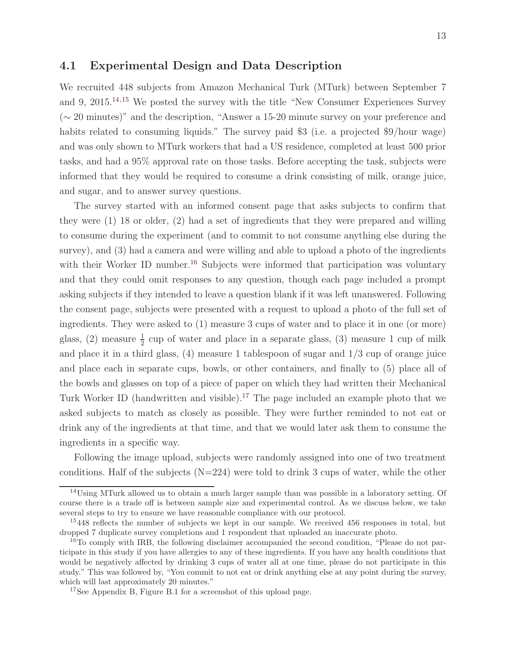#### 4.1 Experimental Design and Data Description

We recruited 448 subjects from Amazon Mechanical Turk (MTurk) between September 7 and 9, 2015.[14](#page-12-0),[15](#page-12-1) We posted the survey with the title "New Consumer Experiences Survey (∼ 20 minutes)" and the description, "Answer a 15-20 minute survey on your preference and habits related to consuming liquids." The survey paid \$3 (i.e. a projected \$9/hour wage) and was only shown to MTurk workers that had a US residence, completed at least 500 prior tasks, and had a 95% approval rate on those tasks. Before accepting the task, subjects were informed that they would be required to consume a drink consisting of milk, orange juice, and sugar, and to answer survey questions.

The survey started with an informed consent page that asks subjects to confirm that they were (1) 18 or older, (2) had a set of ingredients that they were prepared and willing to consume during the experiment (and to commit to not consume anything else during the survey), and (3) had a camera and were willing and able to upload a photo of the ingredients with their Worker ID number.<sup>[16](#page-12-2)</sup> Subjects were informed that participation was voluntary and that they could omit responses to any question, though each page included a prompt asking subjects if they intended to leave a question blank if it was left unanswered. Following the consent page, subjects were presented with a request to upload a photo of the full set of ingredients. They were asked to (1) measure 3 cups of water and to place it in one (or more) glass, (2) measure  $\frac{1}{2}$  cup of water and place in a separate glass, (3) measure 1 cup of milk and place it in a third glass,  $(4)$  measure 1 tablespoon of sugar and  $1/3$  cup of orange juice and place each in separate cups, bowls, or other containers, and finally to (5) place all of the bowls and glasses on top of a piece of paper on which they had written their Mechanical Turk Worker ID (handwritten and visible).<sup>[17](#page-12-3)</sup> The page included an example photo that we asked subjects to match as closely as possible. They were further reminded to not eat or drink any of the ingredients at that time, and that we would later ask them to consume the ingredients in a specific way.

Following the image upload, subjects were randomly assigned into one of two treatment conditions. Half of the subjects  $(N=224)$  were told to drink 3 cups of water, while the other

<span id="page-12-0"></span><sup>&</sup>lt;sup>14</sup>Using MTurk allowed us to obtain a much larger sample than was possible in a laboratory setting. Of course there is a trade off is between sample size and experimental control. As we discuss below, we take several steps to try to ensure we have reasonable compliance with our protocol.

<span id="page-12-1"></span><sup>&</sup>lt;sup>15</sup>448 reflects the number of subjects we kept in our sample. We received 456 responses in total, but dropped 7 duplicate survey completions and 1 respondent that uploaded an inaccurate photo.

<span id="page-12-2"></span><sup>&</sup>lt;sup>16</sup>To comply with IRB, the following disclaimer accompanied the second condition, "Please do not participate in this study if you have allergies to any of these ingredients. If you have any health conditions that would be negatively affected by drinking 3 cups of water all at one time, please do not participate in this study." This was followed by, "You commit to not eat or drink anything else at any point during the survey, which will last approximately 20 minutes."

<span id="page-12-3"></span><sup>17</sup>See Appendix B, Figure B.1 for a screenshot of this upload page.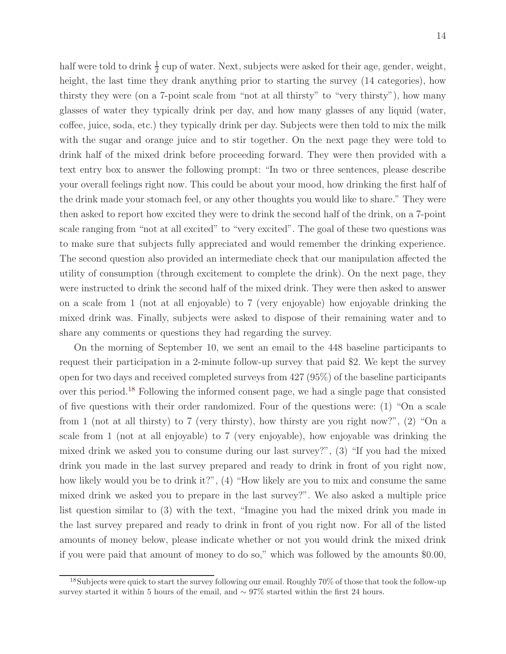half were told to drink  $\frac{1}{2}$  cup of water. Next, subjects were asked for their age, gender, weight, height, the last time they drank anything prior to starting the survey  $(14 \text{ categories})$ , how thirsty they were (on a 7-point scale from "not at all thirsty" to "very thirsty"), how many glasses of water they typically drink per day, and how many glasses of any liquid (water, coffee, juice, soda, etc.) they typically drink per day. Subjects were then told to mix the milk with the sugar and orange juice and to stir together. On the next page they were told to drink half of the mixed drink before proceeding forward. They were then provided with a text entry box to answer the following prompt: "In two or three sentences, please describe your overall feelings right now. This could be about your mood, how drinking the first half of the drink made your stomach feel, or any other thoughts you would like to share." They were then asked to report how excited they were to drink the second half of the drink, on a 7-point scale ranging from "not at all excited" to "very excited". The goal of these two questions was to make sure that subjects fully appreciated and would remember the drinking experience. The second question also provided an intermediate check that our manipulation affected the utility of consumption (through excitement to complete the drink). On the next page, they were instructed to drink the second half of the mixed drink. They were then asked to answer on a scale from 1 (not at all enjoyable) to 7 (very enjoyable) how enjoyable drinking the mixed drink was. Finally, subjects were asked to dispose of their remaining water and to share any comments or questions they had regarding the survey.

On the morning of September 10, we sent an email to the 448 baseline participants to request their participation in a 2-minute follow-up survey that paid \$2. We kept the survey open for two days and received completed surveys from 427 (95%) of the baseline participants over this period.[18](#page-13-0) Following the informed consent page, we had a single page that consisted of five questions with their order randomized. Four of the questions were: (1) "On a scale from 1 (not at all thirsty) to 7 (very thirsty), how thirsty are you right now?", (2) "On a scale from 1 (not at all enjoyable) to 7 (very enjoyable), how enjoyable was drinking the mixed drink we asked you to consume during our last survey?", (3) "If you had the mixed drink you made in the last survey prepared and ready to drink in front of you right now, how likely would you be to drink it?", (4) "How likely are you to mix and consume the same mixed drink we asked you to prepare in the last survey?". We also asked a multiple price list question similar to (3) with the text, "Imagine you had the mixed drink you made in the last survey prepared and ready to drink in front of you right now. For all of the listed amounts of money below, please indicate whether or not you would drink the mixed drink if you were paid that amount of money to do so," which was followed by the amounts \$0.00,

<span id="page-13-0"></span><sup>&</sup>lt;sup>18</sup>Subjects were quick to start the survey following our email. Roughly 70% of those that took the follow-up survey started it within 5 hours of the email, and ∼ 97% started within the first 24 hours.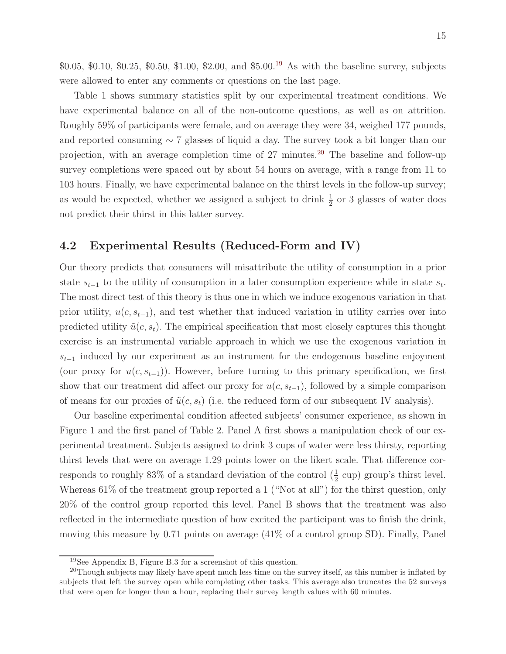$$0.05, $0.10, $0.25, $0.50, $1.00, $2.00, and $5.00.<sup>19</sup>$  $$0.05, $0.10, $0.25, $0.50, $1.00, $2.00, and $5.00.<sup>19</sup>$  $$0.05, $0.10, $0.25, $0.50, $1.00, $2.00, and $5.00.<sup>19</sup>$  As with the baseline survey, subjects were allowed to enter any comments or questions on the last page.

Table 1 shows summary statistics split by our experimental treatment conditions. We have experimental balance on all of the non-outcome questions, as well as on attrition. Roughly 59% of participants were female, and on average they were 34, weighed 177 pounds, and reported consuming ∼ 7 glasses of liquid a day. The survey took a bit longer than our projection, with an average completion time of  $27$  minutes.<sup>[20](#page-14-1)</sup> The baseline and follow-up survey completions were spaced out by about 54 hours on average, with a range from 11 to 103 hours. Finally, we have experimental balance on the thirst levels in the follow-up survey; as would be expected, whether we assigned a subject to drink  $\frac{1}{2}$  or 3 glasses of water does not predict their thirst in this latter survey.

### 4.2 Experimental Results (Reduced-Form and IV)

Our theory predicts that consumers will misattribute the utility of consumption in a prior state  $s_{t-1}$  to the utility of consumption in a later consumption experience while in state  $s_t$ . The most direct test of this theory is thus one in which we induce exogenous variation in that prior utility,  $u(c, s_{t-1})$ , and test whether that induced variation in utility carries over into predicted utility  $\tilde{u}(c, s_t)$ . The empirical specification that most closely captures this thought exercise is an instrumental variable approach in which we use the exogenous variation in  $s_{t-1}$  induced by our experiment as an instrument for the endogenous baseline enjoyment (our proxy for  $u(c, s_{t-1})$ ). However, before turning to this primary specification, we first show that our treatment did affect our proxy for  $u(c, s_{t-1})$ , followed by a simple comparison of means for our proxies of  $\tilde{u}(c, s_t)$  (i.e. the reduced form of our subsequent IV analysis).

Our baseline experimental condition affected subjects' consumer experience, as shown in Figure 1 and the first panel of Table 2. Panel A first shows a manipulation check of our experimental treatment. Subjects assigned to drink 3 cups of water were less thirsty, reporting thirst levels that were on average 1.29 points lower on the likert scale. That difference corresponds to roughly 83% of a standard deviation of the control  $(\frac{1}{2}$  cup) group's thirst level. Whereas 61% of the treatment group reported a 1 ("Not at all") for the thirst question, only 20% of the control group reported this level. Panel B shows that the treatment was also reflected in the intermediate question of how excited the participant was to finish the drink, moving this measure by 0.71 points on average (41% of a control group SD). Finally, Panel

<span id="page-14-0"></span><sup>19</sup>See Appendix B, Figure B.3 for a screenshot of this question.

<span id="page-14-1"></span><sup>&</sup>lt;sup>20</sup>Though subjects may likely have spent much less time on the survey itself, as this number is inflated by subjects that left the survey open while completing other tasks. This average also truncates the 52 surveys that were open for longer than a hour, replacing their survey length values with 60 minutes.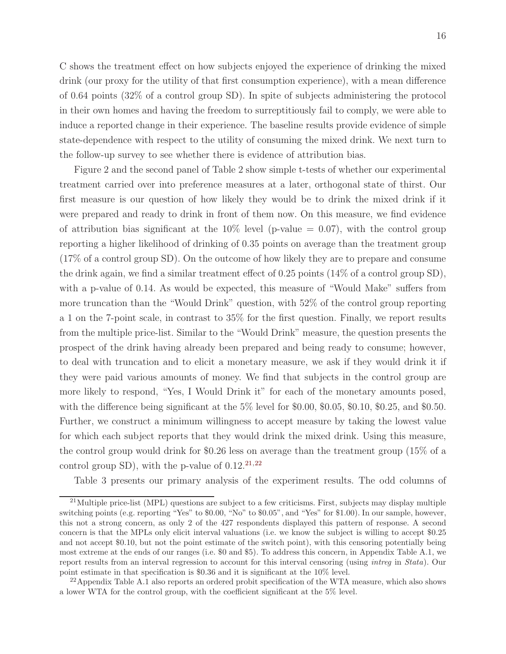C shows the treatment effect on how subjects enjoyed the experience of drinking the mixed drink (our proxy for the utility of that first consumption experience), with a mean difference of 0.64 points (32% of a control group SD). In spite of subjects administering the protocol in their own homes and having the freedom to surreptitiously fail to comply, we were able to induce a reported change in their experience. The baseline results provide evidence of simple state-dependence with respect to the utility of consuming the mixed drink. We next turn to the follow-up survey to see whether there is evidence of attribution bias.

Figure 2 and the second panel of Table 2 show simple t-tests of whether our experimental treatment carried over into preference measures at a later, orthogonal state of thirst. Our first measure is our question of how likely they would be to drink the mixed drink if it were prepared and ready to drink in front of them now. On this measure, we find evidence of attribution bias significant at the  $10\%$  level (p-value  $= 0.07$ ), with the control group reporting a higher likelihood of drinking of 0.35 points on average than the treatment group (17% of a control group SD). On the outcome of how likely they are to prepare and consume the drink again, we find a similar treatment effect of 0.25 points (14% of a control group SD), with a p-value of 0.14. As would be expected, this measure of "Would Make" suffers from more truncation than the "Would Drink" question, with 52% of the control group reporting a 1 on the 7-point scale, in contrast to 35% for the first question. Finally, we report results from the multiple price-list. Similar to the "Would Drink" measure, the question presents the prospect of the drink having already been prepared and being ready to consume; however, to deal with truncation and to elicit a monetary measure, we ask if they would drink it if they were paid various amounts of money. We find that subjects in the control group are more likely to respond, "Yes, I Would Drink it" for each of the monetary amounts posed, with the difference being significant at the 5% level for \$0.00, \$0.05, \$0.10, \$0.25, and \$0.50. Further, we construct a minimum willingness to accept measure by taking the lowest value for which each subject reports that they would drink the mixed drink. Using this measure, the control group would drink for \$0.26 less on average than the treatment group (15% of a control group SD), with the p-value of  $0.12^{21,22}$  $0.12^{21,22}$  $0.12^{21,22}$  $0.12^{21,22}$ 

Table 3 presents our primary analysis of the experiment results. The odd columns of

<span id="page-15-0"></span><sup>&</sup>lt;sup>21</sup>Multiple price-list (MPL) questions are subject to a few criticisms. First, subjects may display multiple switching points (e.g. reporting "Yes" to \$0.00, "No" to \$0.05", and "Yes" for \$1.00). In our sample, however, this not a strong concern, as only 2 of the 427 respondents displayed this pattern of response. A second concern is that the MPLs only elicit interval valuations (i.e. we know the subject is willing to accept \$0.25 and not accept \$0.10, but not the point estimate of the switch point), with this censoring potentially being most extreme at the ends of our ranges (i.e. \$0 and \$5). To address this concern, in Appendix Table A.1, we report results from an interval regression to account for this interval censoring (using intreg in Stata). Our point estimate in that specification is \$0.36 and it is significant at the 10% level.

<span id="page-15-1"></span> $^{22}$ Appendix Table A.1 also reports an ordered probit specification of the WTA measure, which also shows a lower WTA for the control group, with the coefficient significant at the 5% level.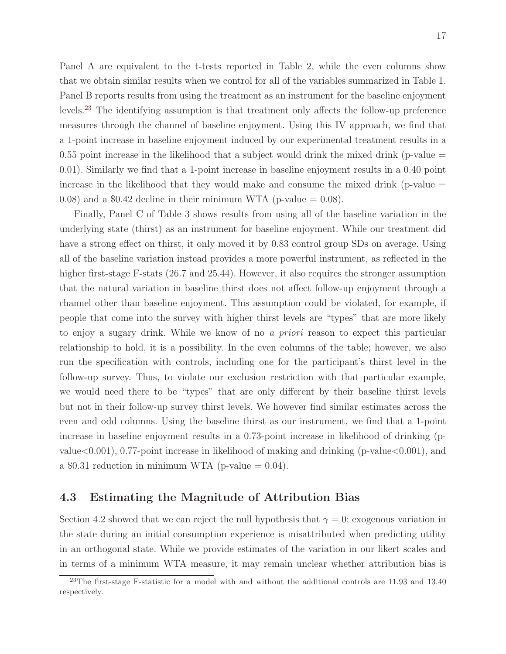Panel A are equivalent to the t-tests reported in Table 2, while the even columns show that we obtain similar results when we control for all of the variables summarized in Table 1. Panel B reports results from using the treatment as an instrument for the baseline enjoyment levels.[23](#page-16-0) The identifying assumption is that treatment only affects the follow-up preference measures through the channel of baseline enjoyment. Using this IV approach, we find that a 1-point increase in baseline enjoyment induced by our experimental treatment results in a 0.55 point increase in the likelihood that a subject would drink the mixed drink (p-value  $=$ 0.01). Similarly we find that a 1-point increase in baseline enjoyment results in a 0.40 point increase in the likelihood that they would make and consume the mixed drink (p-value  $=$ 0.08) and a \$0.42 decline in their minimum WTA (p-value  $= 0.08$ ).

Finally, Panel C of Table 3 shows results from using all of the baseline variation in the underlying state (thirst) as an instrument for baseline enjoyment. While our treatment did have a strong effect on thirst, it only moved it by 0.83 control group SDs on average. Using all of the baseline variation instead provides a more powerful instrument, as reflected in the higher first-stage F-stats (26.7 and 25.44). However, it also requires the stronger assumption that the natural variation in baseline thirst does not affect follow-up enjoyment through a channel other than baseline enjoyment. This assumption could be violated, for example, if people that come into the survey with higher thirst levels are "types" that are more likely to enjoy a sugary drink. While we know of no a priori reason to expect this particular relationship to hold, it is a possibility. In the even columns of the table; however, we also run the specification with controls, including one for the participant's thirst level in the follow-up survey. Thus, to violate our exclusion restriction with that particular example, we would need there to be "types" that are only different by their baseline thirst levels but not in their follow-up survey thirst levels. We however find similar estimates across the even and odd columns. Using the baseline thirst as our instrument, we find that a 1-point increase in baseline enjoyment results in a 0.73-point increase in likelihood of drinking (pvalue $< 0.001$ , 0.77-point increase in likelihood of making and drinking (p-value $< 0.001$ ), and a \$0.31 reduction in minimum WTA (p-value  $= 0.04$ ).

### 4.3 Estimating the Magnitude of Attribution Bias

Section 4.2 showed that we can reject the null hypothesis that  $\gamma = 0$ ; exogenous variation in the state during an initial consumption experience is misattributed when predicting utility in an orthogonal state. While we provide estimates of the variation in our likert scales and in terms of a minimum WTA measure, it may remain unclear whether attribution bias is

<span id="page-16-0"></span> $^{23}$ The first-stage F-statistic for a model with and without the additional controls are 11.93 and 13.40 respectively.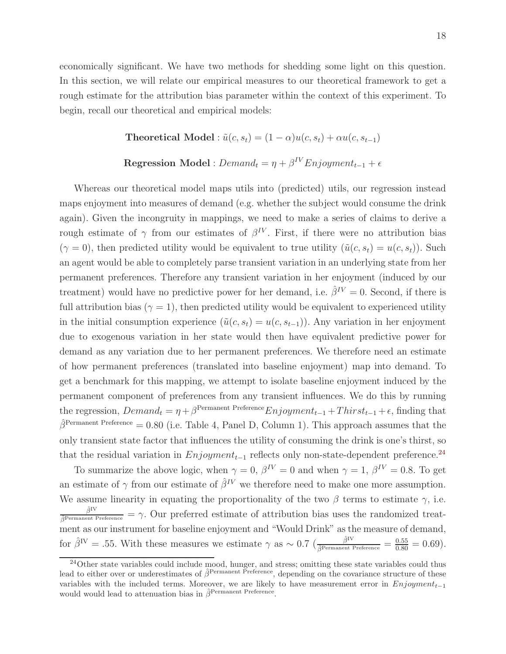economically significant. We have two methods for shedding some light on this question. In this section, we will relate our empirical measures to our theoretical framework to get a rough estimate for the attribution bias parameter within the context of this experiment. To begin, recall our theoretical and empirical models:

Theoretical Model :  $\tilde{u}(c, s_t) = (1 - \alpha)u(c, s_t) + \alpha u(c, s_{t-1})$ 

### Regression Model :  $Demand_t = \eta + \beta^{IV}Enjoyment_{t-1} + \epsilon$

Whereas our theoretical model maps utils into (predicted) utils, our regression instead maps enjoyment into measures of demand (e.g. whether the subject would consume the drink again). Given the incongruity in mappings, we need to make a series of claims to derive a rough estimate of  $\gamma$  from our estimates of  $\beta^{IV}$ . First, if there were no attribution bias  $(\gamma = 0)$ , then predicted utility would be equivalent to true utility  $(\tilde{u}(c, s_t) = u(c, s_t))$ . Such an agent would be able to completely parse transient variation in an underlying state from her permanent preferences. Therefore any transient variation in her enjoyment (induced by our treatment) would have no predictive power for her demand, i.e.  $\hat{\beta}^{IV} = 0$ . Second, if there is full attribution bias ( $\gamma = 1$ ), then predicted utility would be equivalent to experienced utility in the initial consumption experience  $(\tilde{u}(c, s_t) = u(c, s_{t-1}))$ . Any variation in her enjoyment due to exogenous variation in her state would then have equivalent predictive power for demand as any variation due to her permanent preferences. We therefore need an estimate of how permanent preferences (translated into baseline enjoyment) map into demand. To get a benchmark for this mapping, we attempt to isolate baseline enjoyment induced by the permanent component of preferences from any transient influences. We do this by running the regression,  $Demand_t = \eta + \beta^{Permanent Preference} Enjoyment_{t-1} + Thirst_{t-1} + \epsilon$ , finding that  $\hat{\beta}^{\text{Permanent Preference}} = 0.80$  (i.e. Table 4, Panel D, Column 1). This approach assumes that the only transient state factor that influences the utility of consuming the drink is one's thirst, so that the residual variation in  $Enjoyment_{t-1}$  reflects only non-state-dependent preference.<sup>[24](#page-17-0)</sup>

To summarize the above logic, when  $\gamma = 0$ ,  $\beta^{IV} = 0$  and when  $\gamma = 1$ ,  $\beta^{IV} = 0.8$ . To get an estimate of  $\gamma$  from our estimate of  $\hat{\beta}^{IV}$  we therefore need to make one more assumption. We assume linearity in equating the proportionality of the two  $\beta$  terms to estimate  $\gamma$ , i.e.  $\frac{\hat{\beta}^{IV}}{\hat{\beta}^{Permanent Preference}} = \gamma$ . Our preferred estimate of attribution bias uses the randomized treatment as our instrument for baseline enjoyment and "Would Drink" as the measure of demand, for  $\hat{\beta}^{IV} = .55$ . With these measures we estimate  $\gamma$  as ~ 0.7 ( $\frac{\hat{\beta}^{IV}}{\hat{\beta}^{Permanent Preference}} = \frac{0.55}{0.80} = 0.69$ ).

<span id="page-17-0"></span> $^{24}$ Other state variables could include mood, hunger, and stress; omitting these state variables could thus lead to either over or underestimates of  $\hat{\beta}^{\text{Permanent Preference}}$ , depending on the covariance structure of these variables with the included terms. Moreover, we are likely to have measurement error in  $Enjoyment_{t-1}$ would would lead to attenuation bias in  $\hat{\beta}^{\text{Permannent Preference}}$ .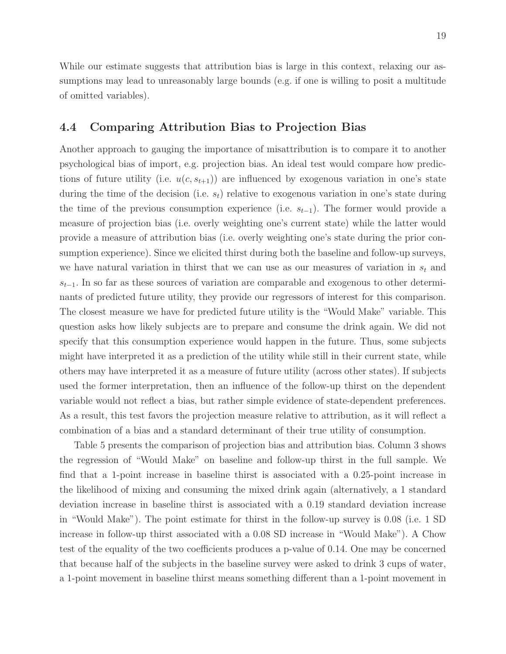While our estimate suggests that attribution bias is large in this context, relaxing our assumptions may lead to unreasonably large bounds (e.g. if one is willing to posit a multitude of omitted variables).

### 4.4 Comparing Attribution Bias to Projection Bias

Another approach to gauging the importance of misattribution is to compare it to another psychological bias of import, e.g. projection bias. An ideal test would compare how predictions of future utility (i.e.  $u(c, s_{t+1})$ ) are influenced by exogenous variation in one's state during the time of the decision (i.e.  $s_t$ ) relative to exogenous variation in one's state during the time of the previous consumption experience (i.e.  $s_{t-1}$ ). The former would provide a measure of projection bias (i.e. overly weighting one's current state) while the latter would provide a measure of attribution bias (i.e. overly weighting one's state during the prior consumption experience). Since we elicited thirst during both the baseline and follow-up surveys, we have natural variation in thirst that we can use as our measures of variation in  $s_t$  and  $s_{t-1}$ . In so far as these sources of variation are comparable and exogenous to other determinants of predicted future utility, they provide our regressors of interest for this comparison. The closest measure we have for predicted future utility is the "Would Make" variable. This question asks how likely subjects are to prepare and consume the drink again. We did not specify that this consumption experience would happen in the future. Thus, some subjects might have interpreted it as a prediction of the utility while still in their current state, while others may have interpreted it as a measure of future utility (across other states). If subjects used the former interpretation, then an influence of the follow-up thirst on the dependent variable would not reflect a bias, but rather simple evidence of state-dependent preferences. As a result, this test favors the projection measure relative to attribution, as it will reflect a combination of a bias and a standard determinant of their true utility of consumption.

Table 5 presents the comparison of projection bias and attribution bias. Column 3 shows the regression of "Would Make" on baseline and follow-up thirst in the full sample. We find that a 1-point increase in baseline thirst is associated with a 0.25-point increase in the likelihood of mixing and consuming the mixed drink again (alternatively, a 1 standard deviation increase in baseline thirst is associated with a 0.19 standard deviation increase in "Would Make"). The point estimate for thirst in the follow-up survey is 0.08 (i.e. 1 SD increase in follow-up thirst associated with a 0.08 SD increase in "Would Make"). A Chow test of the equality of the two coefficients produces a p-value of 0.14. One may be concerned that because half of the subjects in the baseline survey were asked to drink 3 cups of water, a 1-point movement in baseline thirst means something different than a 1-point movement in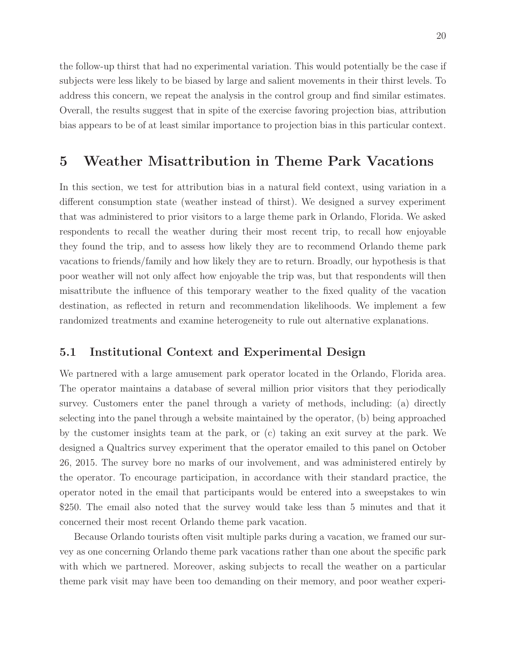the follow-up thirst that had no experimental variation. This would potentially be the case if subjects were less likely to be biased by large and salient movements in their thirst levels. To address this concern, we repeat the analysis in the control group and find similar estimates. Overall, the results suggest that in spite of the exercise favoring projection bias, attribution bias appears to be of at least similar importance to projection bias in this particular context.

### 5 Weather Misattribution in Theme Park Vacations

In this section, we test for attribution bias in a natural field context, using variation in a different consumption state (weather instead of thirst). We designed a survey experiment that was administered to prior visitors to a large theme park in Orlando, Florida. We asked respondents to recall the weather during their most recent trip, to recall how enjoyable they found the trip, and to assess how likely they are to recommend Orlando theme park vacations to friends/family and how likely they are to return. Broadly, our hypothesis is that poor weather will not only affect how enjoyable the trip was, but that respondents will then misattribute the influence of this temporary weather to the fixed quality of the vacation destination, as reflected in return and recommendation likelihoods. We implement a few randomized treatments and examine heterogeneity to rule out alternative explanations.

### 5.1 Institutional Context and Experimental Design

We partnered with a large amusement park operator located in the Orlando, Florida area. The operator maintains a database of several million prior visitors that they periodically survey. Customers enter the panel through a variety of methods, including: (a) directly selecting into the panel through a website maintained by the operator, (b) being approached by the customer insights team at the park, or (c) taking an exit survey at the park. We designed a Qualtrics survey experiment that the operator emailed to this panel on October 26, 2015. The survey bore no marks of our involvement, and was administered entirely by the operator. To encourage participation, in accordance with their standard practice, the operator noted in the email that participants would be entered into a sweepstakes to win \$250. The email also noted that the survey would take less than 5 minutes and that it concerned their most recent Orlando theme park vacation.

Because Orlando tourists often visit multiple parks during a vacation, we framed our survey as one concerning Orlando theme park vacations rather than one about the specific park with which we partnered. Moreover, asking subjects to recall the weather on a particular theme park visit may have been too demanding on their memory, and poor weather experi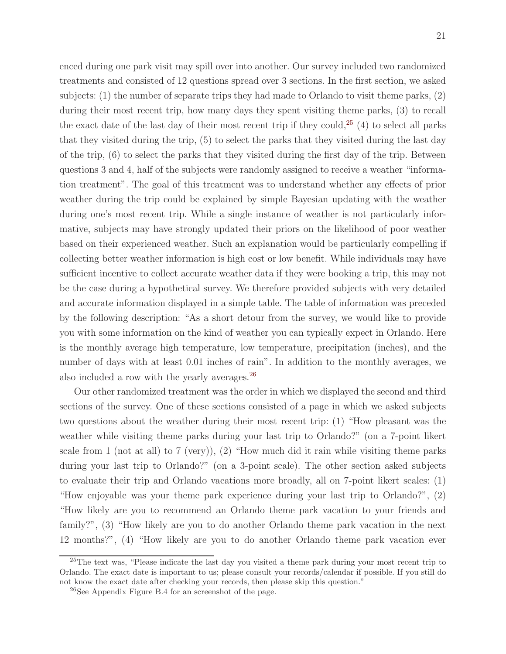enced during one park visit may spill over into another. Our survey included two randomized treatments and consisted of 12 questions spread over 3 sections. In the first section, we asked subjects: (1) the number of separate trips they had made to Orlando to visit theme parks, (2) during their most recent trip, how many days they spent visiting theme parks, (3) to recall the exact date of the last day of their most recent trip if they could, [25](#page-20-0) (4) to select all parks that they visited during the trip, (5) to select the parks that they visited during the last day of the trip, (6) to select the parks that they visited during the first day of the trip. Between questions 3 and 4, half of the subjects were randomly assigned to receive a weather "information treatment". The goal of this treatment was to understand whether any effects of prior weather during the trip could be explained by simple Bayesian updating with the weather during one's most recent trip. While a single instance of weather is not particularly informative, subjects may have strongly updated their priors on the likelihood of poor weather based on their experienced weather. Such an explanation would be particularly compelling if collecting better weather information is high cost or low benefit. While individuals may have sufficient incentive to collect accurate weather data if they were booking a trip, this may not be the case during a hypothetical survey. We therefore provided subjects with very detailed and accurate information displayed in a simple table. The table of information was preceded by the following description: "As a short detour from the survey, we would like to provide you with some information on the kind of weather you can typically expect in Orlando. Here is the monthly average high temperature, low temperature, precipitation (inches), and the number of days with at least 0.01 inches of rain". In addition to the monthly averages, we also included a row with the yearly averages.[26](#page-20-1)

Our other randomized treatment was the order in which we displayed the second and third sections of the survey. One of these sections consisted of a page in which we asked subjects two questions about the weather during their most recent trip: (1) "How pleasant was the weather while visiting theme parks during your last trip to Orlando?" (on a 7-point likert scale from 1 (not at all) to 7 (very)), (2) "How much did it rain while visiting theme parks during your last trip to Orlando?" (on a 3-point scale). The other section asked subjects to evaluate their trip and Orlando vacations more broadly, all on 7-point likert scales: (1) "How enjoyable was your theme park experience during your last trip to Orlando?", (2) "How likely are you to recommend an Orlando theme park vacation to your friends and family?", (3) "How likely are you to do another Orlando theme park vacation in the next 12 months?", (4) "How likely are you to do another Orlando theme park vacation ever

<span id="page-20-0"></span><sup>&</sup>lt;sup>25</sup>The text was, "Please indicate the last day you visited a theme park during your most recent trip to Orlando. The exact date is important to us; please consult your records/calendar if possible. If you still do not know the exact date after checking your records, then please skip this question."

<span id="page-20-1"></span><sup>26</sup>See Appendix Figure B.4 for an screenshot of the page.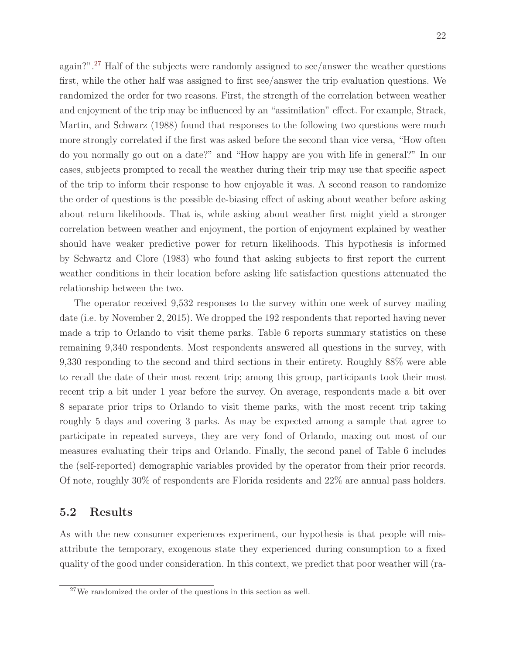again?".[27](#page-21-0) Half of the subjects were randomly assigned to see/answer the weather questions first, while the other half was assigned to first see/answer the trip evaluation questions. We randomized the order for two reasons. First, the strength of the correlation between weather and enjoyment of the trip may be influenced by an "assimilation" effect. For example, Strack, Martin, and Schwarz (1988) found that responses to the following two questions were much more strongly correlated if the first was asked before the second than vice versa, "How often do you normally go out on a date?" and "How happy are you with life in general?" In our cases, subjects prompted to recall the weather during their trip may use that specific aspect of the trip to inform their response to how enjoyable it was. A second reason to randomize the order of questions is the possible de-biasing effect of asking about weather before asking about return likelihoods. That is, while asking about weather first might yield a stronger correlation between weather and enjoyment, the portion of enjoyment explained by weather should have weaker predictive power for return likelihoods. This hypothesis is informed by Schwartz and Clore (1983) who found that asking subjects to first report the current weather conditions in their location before asking life satisfaction questions attenuated the relationship between the two.

The operator received 9,532 responses to the survey within one week of survey mailing date (i.e. by November 2, 2015). We dropped the 192 respondents that reported having never made a trip to Orlando to visit theme parks. Table 6 reports summary statistics on these remaining 9,340 respondents. Most respondents answered all questions in the survey, with 9,330 responding to the second and third sections in their entirety. Roughly 88% were able to recall the date of their most recent trip; among this group, participants took their most recent trip a bit under 1 year before the survey. On average, respondents made a bit over 8 separate prior trips to Orlando to visit theme parks, with the most recent trip taking roughly 5 days and covering 3 parks. As may be expected among a sample that agree to participate in repeated surveys, they are very fond of Orlando, maxing out most of our measures evaluating their trips and Orlando. Finally, the second panel of Table 6 includes the (self-reported) demographic variables provided by the operator from their prior records. Of note, roughly 30% of respondents are Florida residents and 22% are annual pass holders.

### 5.2 Results

As with the new consumer experiences experiment, our hypothesis is that people will misattribute the temporary, exogenous state they experienced during consumption to a fixed quality of the good under consideration. In this context, we predict that poor weather will (ra-

<span id="page-21-0"></span><sup>27</sup>We randomized the order of the questions in this section as well.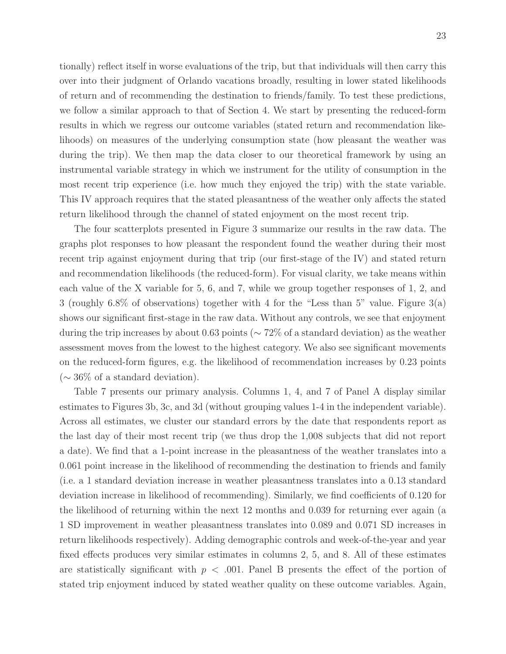tionally) reflect itself in worse evaluations of the trip, but that individuals will then carry this over into their judgment of Orlando vacations broadly, resulting in lower stated likelihoods of return and of recommending the destination to friends/family. To test these predictions, we follow a similar approach to that of Section 4. We start by presenting the reduced-form results in which we regress our outcome variables (stated return and recommendation likelihoods) on measures of the underlying consumption state (how pleasant the weather was during the trip). We then map the data closer to our theoretical framework by using an instrumental variable strategy in which we instrument for the utility of consumption in the most recent trip experience (i.e. how much they enjoyed the trip) with the state variable. This IV approach requires that the stated pleasantness of the weather only affects the stated return likelihood through the channel of stated enjoyment on the most recent trip.

The four scatterplots presented in Figure 3 summarize our results in the raw data. The graphs plot responses to how pleasant the respondent found the weather during their most recent trip against enjoyment during that trip (our first-stage of the IV) and stated return and recommendation likelihoods (the reduced-form). For visual clarity, we take means within each value of the X variable for 5, 6, and 7, while we group together responses of 1, 2, and 3 (roughly 6.8% of observations) together with 4 for the "Less than 5" value. Figure 3(a) shows our significant first-stage in the raw data. Without any controls, we see that enjoyment during the trip increases by about 0.63 points (∼ 72% of a standard deviation) as the weather assessment moves from the lowest to the highest category. We also see significant movements on the reduced-form figures, e.g. the likelihood of recommendation increases by 0.23 points  $(∼ 36\%$  of a standard deviation).

Table 7 presents our primary analysis. Columns 1, 4, and 7 of Panel A display similar estimates to Figures 3b, 3c, and 3d (without grouping values 1-4 in the independent variable). Across all estimates, we cluster our standard errors by the date that respondents report as the last day of their most recent trip (we thus drop the 1,008 subjects that did not report a date). We find that a 1-point increase in the pleasantness of the weather translates into a 0.061 point increase in the likelihood of recommending the destination to friends and family (i.e. a 1 standard deviation increase in weather pleasantness translates into a 0.13 standard deviation increase in likelihood of recommending). Similarly, we find coefficients of 0.120 for the likelihood of returning within the next 12 months and 0.039 for returning ever again (a 1 SD improvement in weather pleasantness translates into 0.089 and 0.071 SD increases in return likelihoods respectively). Adding demographic controls and week-of-the-year and year fixed effects produces very similar estimates in columns 2, 5, and 8. All of these estimates are statistically significant with  $p < .001$ . Panel B presents the effect of the portion of stated trip enjoyment induced by stated weather quality on these outcome variables. Again,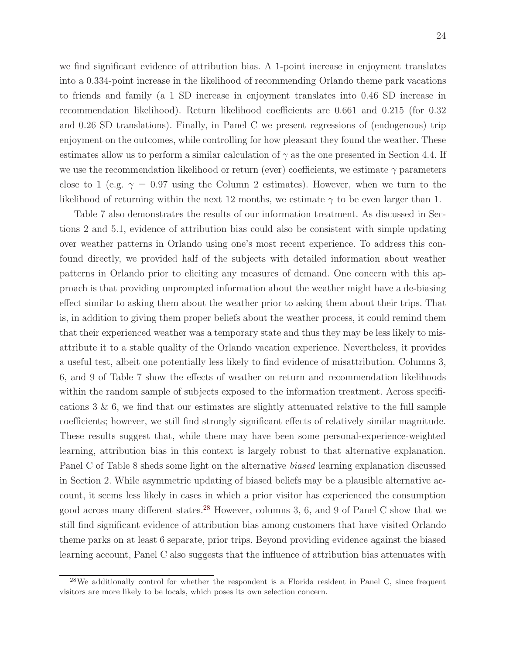we find significant evidence of attribution bias. A 1-point increase in enjoyment translates into a 0.334-point increase in the likelihood of recommending Orlando theme park vacations to friends and family (a 1 SD increase in enjoyment translates into 0.46 SD increase in recommendation likelihood). Return likelihood coefficients are 0.661 and 0.215 (for 0.32 and 0.26 SD translations). Finally, in Panel C we present regressions of (endogenous) trip enjoyment on the outcomes, while controlling for how pleasant they found the weather. These estimates allow us to perform a similar calculation of  $\gamma$  as the one presented in Section 4.4. If we use the recommendation likelihood or return (ever) coefficients, we estimate  $\gamma$  parameters close to 1 (e.g.  $\gamma = 0.97$  using the Column 2 estimates). However, when we turn to the likelihood of returning within the next 12 months, we estimate  $\gamma$  to be even larger than 1.

Table 7 also demonstrates the results of our information treatment. As discussed in Sections 2 and 5.1, evidence of attribution bias could also be consistent with simple updating over weather patterns in Orlando using one's most recent experience. To address this confound directly, we provided half of the subjects with detailed information about weather patterns in Orlando prior to eliciting any measures of demand. One concern with this approach is that providing unprompted information about the weather might have a de-biasing effect similar to asking them about the weather prior to asking them about their trips. That is, in addition to giving them proper beliefs about the weather process, it could remind them that their experienced weather was a temporary state and thus they may be less likely to misattribute it to a stable quality of the Orlando vacation experience. Nevertheless, it provides a useful test, albeit one potentially less likely to find evidence of misattribution. Columns 3, 6, and 9 of Table 7 show the effects of weather on return and recommendation likelihoods within the random sample of subjects exposed to the information treatment. Across specifications  $3 \& 6$ , we find that our estimates are slightly attenuated relative to the full sample coefficients; however, we still find strongly significant effects of relatively similar magnitude. These results suggest that, while there may have been some personal-experience-weighted learning, attribution bias in this context is largely robust to that alternative explanation. Panel C of Table 8 sheds some light on the alternative biased learning explanation discussed in Section 2. While asymmetric updating of biased beliefs may be a plausible alternative account, it seems less likely in cases in which a prior visitor has experienced the consumption good across many different states.[28](#page-23-0) However, columns 3, 6, and 9 of Panel C show that we still find significant evidence of attribution bias among customers that have visited Orlando theme parks on at least 6 separate, prior trips. Beyond providing evidence against the biased learning account, Panel C also suggests that the influence of attribution bias attenuates with

<span id="page-23-0"></span> $^{28}$ We additionally control for whether the respondent is a Florida resident in Panel C, since frequent visitors are more likely to be locals, which poses its own selection concern.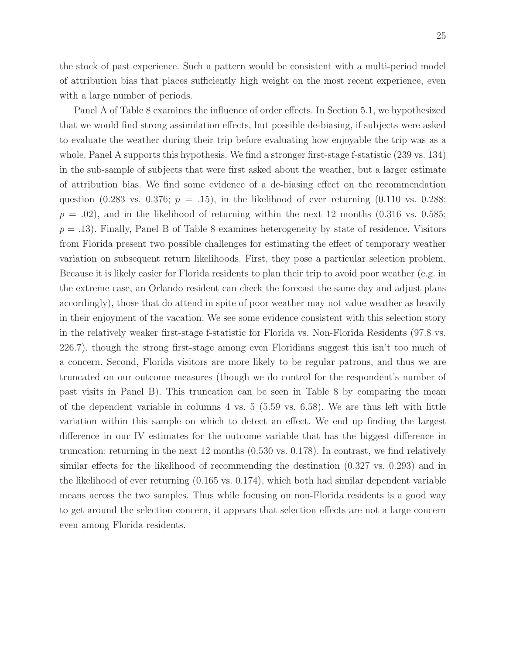the stock of past experience. Such a pattern would be consistent with a multi-period model of attribution bias that places sufficiently high weight on the most recent experience, even with a large number of periods.

Panel A of Table 8 examines the influence of order effects. In Section 5.1, we hypothesized that we would find strong assimilation effects, but possible de-biasing, if subjects were asked to evaluate the weather during their trip before evaluating how enjoyable the trip was as a whole. Panel A supports this hypothesis. We find a stronger first-stage f-statistic (239 vs. 134) in the sub-sample of subjects that were first asked about the weather, but a larger estimate of attribution bias. We find some evidence of a de-biasing effect on the recommendation question (0.283 vs. 0.376;  $p = .15$ ), in the likelihood of ever returning (0.110 vs. 0.288;  $p = .02$ , and in the likelihood of returning within the next 12 months (0.316 vs. 0.585;  $p = .13$ ). Finally, Panel B of Table 8 examines heterogeneity by state of residence. Visitors from Florida present two possible challenges for estimating the effect of temporary weather variation on subsequent return likelihoods. First, they pose a particular selection problem. Because it is likely easier for Florida residents to plan their trip to avoid poor weather (e.g. in the extreme case, an Orlando resident can check the forecast the same day and adjust plans accordingly), those that do attend in spite of poor weather may not value weather as heavily in their enjoyment of the vacation. We see some evidence consistent with this selection story in the relatively weaker first-stage f-statistic for Florida vs. Non-Florida Residents (97.8 vs. 226.7), though the strong first-stage among even Floridians suggest this isn't too much of a concern. Second, Florida visitors are more likely to be regular patrons, and thus we are truncated on our outcome measures (though we do control for the respondent's number of past visits in Panel B). This truncation can be seen in Table 8 by comparing the mean of the dependent variable in columns  $4 \text{ vs. } 5 \text{ (}5.59 \text{ vs. } 6.58\text{).}$  We are thus left with little variation within this sample on which to detect an effect. We end up finding the largest difference in our IV estimates for the outcome variable that has the biggest difference in truncation: returning in the next 12 months (0.530 vs. 0.178). In contrast, we find relatively similar effects for the likelihood of recommending the destination (0.327 vs. 0.293) and in the likelihood of ever returning (0.165 vs. 0.174), which both had similar dependent variable means across the two samples. Thus while focusing on non-Florida residents is a good way to get around the selection concern, it appears that selection effects are not a large concern even among Florida residents.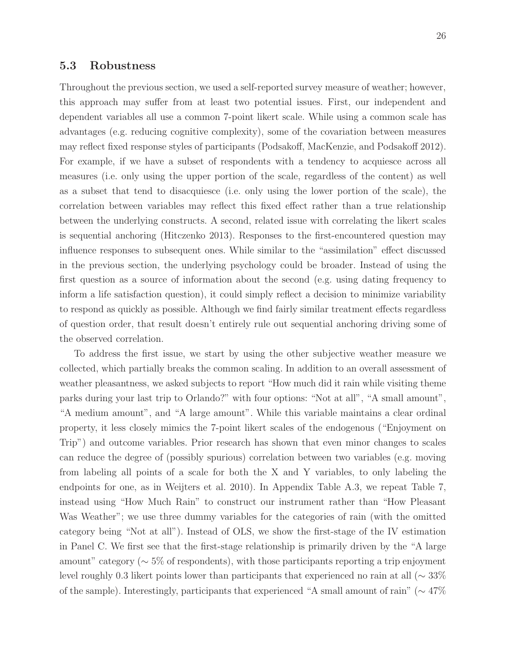#### 5.3 Robustness

Throughout the previous section, we used a self-reported survey measure of weather; however, this approach may suffer from at least two potential issues. First, our independent and dependent variables all use a common 7-point likert scale. While using a common scale has advantages (e.g. reducing cognitive complexity), some of the covariation between measures may reflect fixed response styles of participants (Podsakoff, MacKenzie, and Podsakoff 2012). For example, if we have a subset of respondents with a tendency to acquiesce across all measures (i.e. only using the upper portion of the scale, regardless of the content) as well as a subset that tend to disacquiesce (i.e. only using the lower portion of the scale), the correlation between variables may reflect this fixed effect rather than a true relationship between the underlying constructs. A second, related issue with correlating the likert scales is sequential anchoring (Hitczenko 2013). Responses to the first-encountered question may influence responses to subsequent ones. While similar to the "assimilation" effect discussed in the previous section, the underlying psychology could be broader. Instead of using the first question as a source of information about the second (e.g. using dating frequency to inform a life satisfaction question), it could simply reflect a decision to minimize variability to respond as quickly as possible. Although we find fairly similar treatment effects regardless of question order, that result doesn't entirely rule out sequential anchoring driving some of the observed correlation.

To address the first issue, we start by using the other subjective weather measure we collected, which partially breaks the common scaling. In addition to an overall assessment of weather pleasantness, we asked subjects to report "How much did it rain while visiting theme parks during your last trip to Orlando?" with four options: "Not at all", "A small amount", "A medium amount", and "A large amount". While this variable maintains a clear ordinal property, it less closely mimics the 7-point likert scales of the endogenous ("Enjoyment on Trip") and outcome variables. Prior research has shown that even minor changes to scales can reduce the degree of (possibly spurious) correlation between two variables (e.g. moving from labeling all points of a scale for both the X and Y variables, to only labeling the endpoints for one, as in Weijters et al. 2010). In Appendix Table A.3, we repeat Table 7, instead using "How Much Rain" to construct our instrument rather than "How Pleasant Was Weather"; we use three dummy variables for the categories of rain (with the omitted category being "Not at all"). Instead of OLS, we show the first-stage of the IV estimation in Panel C. We first see that the first-stage relationship is primarily driven by the "A large amount" category ( $\sim 5\%$  of respondents), with those participants reporting a trip enjoyment level roughly 0.3 likert points lower than participants that experienced no rain at all (∼ 33% of the sample). Interestingly, participants that experienced "A small amount of rain" (∼ 47%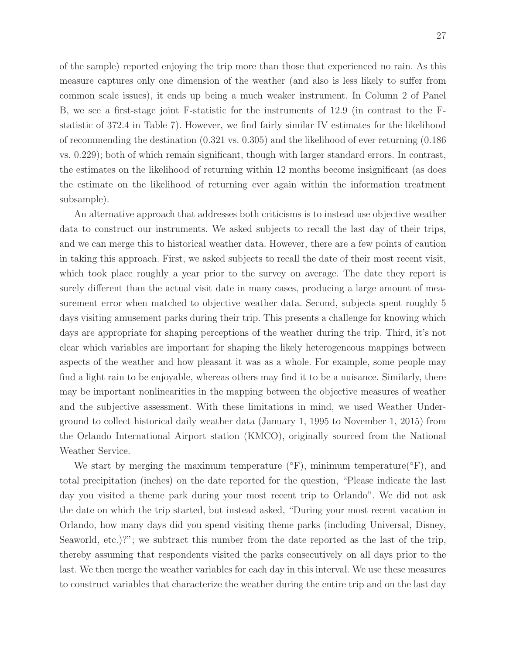of the sample) reported enjoying the trip more than those that experienced no rain. As this measure captures only one dimension of the weather (and also is less likely to suffer from common scale issues), it ends up being a much weaker instrument. In Column 2 of Panel B, we see a first-stage joint F-statistic for the instruments of 12.9 (in contrast to the Fstatistic of 372.4 in Table 7). However, we find fairly similar IV estimates for the likelihood of recommending the destination (0.321 vs. 0.305) and the likelihood of ever returning (0.186 vs. 0.229); both of which remain significant, though with larger standard errors. In contrast, the estimates on the likelihood of returning within 12 months become insignificant (as does the estimate on the likelihood of returning ever again within the information treatment subsample).

An alternative approach that addresses both criticisms is to instead use objective weather data to construct our instruments. We asked subjects to recall the last day of their trips, and we can merge this to historical weather data. However, there are a few points of caution in taking this approach. First, we asked subjects to recall the date of their most recent visit, which took place roughly a year prior to the survey on average. The date they report is surely different than the actual visit date in many cases, producing a large amount of measurement error when matched to objective weather data. Second, subjects spent roughly 5 days visiting amusement parks during their trip. This presents a challenge for knowing which days are appropriate for shaping perceptions of the weather during the trip. Third, it's not clear which variables are important for shaping the likely heterogeneous mappings between aspects of the weather and how pleasant it was as a whole. For example, some people may find a light rain to be enjoyable, whereas others may find it to be a nuisance. Similarly, there may be important nonlinearities in the mapping between the objective measures of weather and the subjective assessment. With these limitations in mind, we used Weather Underground to collect historical daily weather data (January 1, 1995 to November 1, 2015) from the Orlando International Airport station (KMCO), originally sourced from the National Weather Service.

We start by merging the maximum temperature  $(\mathrm{°F})$ , minimum temperature $(\mathrm{°F})$ , and total precipitation (inches) on the date reported for the question, "Please indicate the last day you visited a theme park during your most recent trip to Orlando". We did not ask the date on which the trip started, but instead asked, "During your most recent vacation in Orlando, how many days did you spend visiting theme parks (including Universal, Disney, Seaworld, etc.)?"; we subtract this number from the date reported as the last of the trip, thereby assuming that respondents visited the parks consecutively on all days prior to the last. We then merge the weather variables for each day in this interval. We use these measures to construct variables that characterize the weather during the entire trip and on the last day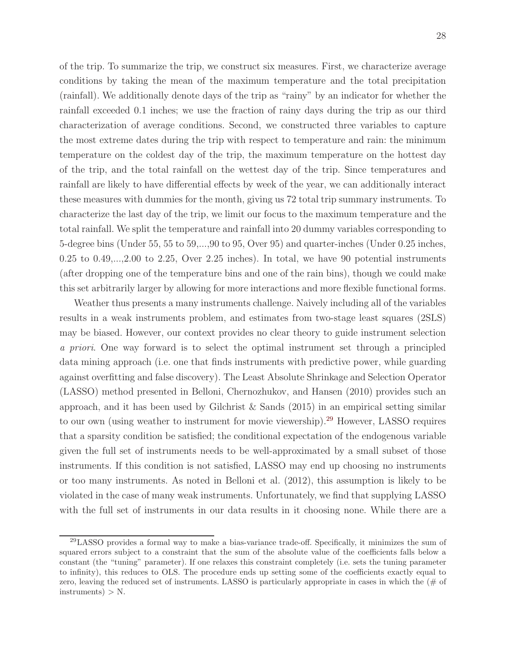of the trip. To summarize the trip, we construct six measures. First, we characterize average conditions by taking the mean of the maximum temperature and the total precipitation (rainfall). We additionally denote days of the trip as "rainy" by an indicator for whether the rainfall exceeded 0.1 inches; we use the fraction of rainy days during the trip as our third characterization of average conditions. Second, we constructed three variables to capture the most extreme dates during the trip with respect to temperature and rain: the minimum temperature on the coldest day of the trip, the maximum temperature on the hottest day of the trip, and the total rainfall on the wettest day of the trip. Since temperatures and rainfall are likely to have differential effects by week of the year, we can additionally interact these measures with dummies for the month, giving us 72 total trip summary instruments. To characterize the last day of the trip, we limit our focus to the maximum temperature and the total rainfall. We split the temperature and rainfall into 20 dummy variables corresponding to 5-degree bins (Under 55, 55 to 59,...,90 to 95, Over 95) and quarter-inches (Under 0.25 inches,  $0.25$  to  $0.49,\ldots,2.00$  to  $2.25$ , Over  $2.25$  inches). In total, we have 90 potential instruments (after dropping one of the temperature bins and one of the rain bins), though we could make this set arbitrarily larger by allowing for more interactions and more flexible functional forms.

Weather thus presents a many instruments challenge. Naively including all of the variables results in a weak instruments problem, and estimates from two-stage least squares (2SLS) may be biased. However, our context provides no clear theory to guide instrument selection a priori. One way forward is to select the optimal instrument set through a principled data mining approach (i.e. one that finds instruments with predictive power, while guarding against overfitting and false discovery). The Least Absolute Shrinkage and Selection Operator (LASSO) method presented in Belloni, Chernozhukov, and Hansen (2010) provides such an approach, and it has been used by Gilchrist  $\&$  Sands (2015) in an empirical setting similar to our own (using weather to instrument for movie viewership).<sup>[29](#page-27-0)</sup> However, LASSO requires that a sparsity condition be satisfied; the conditional expectation of the endogenous variable given the full set of instruments needs to be well-approximated by a small subset of those instruments. If this condition is not satisfied, LASSO may end up choosing no instruments or too many instruments. As noted in Belloni et al. (2012), this assumption is likely to be violated in the case of many weak instruments. Unfortunately, we find that supplying LASSO with the full set of instruments in our data results in it choosing none. While there are a

<span id="page-27-0"></span><sup>29</sup>LASSO provides a formal way to make a bias-variance trade-off. Specifically, it minimizes the sum of squared errors subject to a constraint that the sum of the absolute value of the coefficients falls below a constant (the "tuning" parameter). If one relaxes this constraint completely (i.e. sets the tuning parameter to infinity), this reduces to OLS. The procedure ends up setting some of the coefficients exactly equal to zero, leaving the reduced set of instruments. LASSO is particularly appropriate in cases in which the  $(\#$  of  $instruments) > N.$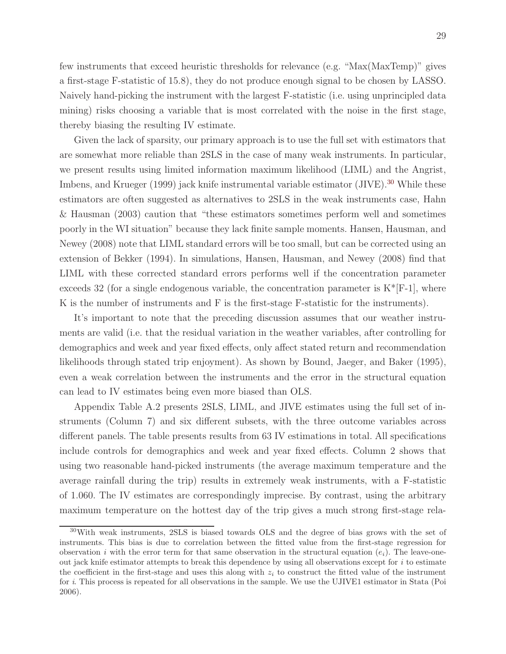few instruments that exceed heuristic thresholds for relevance (e.g. "Max(MaxTemp)" gives a first-stage F-statistic of 15.8), they do not produce enough signal to be chosen by LASSO. Naively hand-picking the instrument with the largest F-statistic (i.e. using unprincipled data mining) risks choosing a variable that is most correlated with the noise in the first stage, thereby biasing the resulting IV estimate.

Given the lack of sparsity, our primary approach is to use the full set with estimators that are somewhat more reliable than 2SLS in the case of many weak instruments. In particular, we present results using limited information maximum likelihood (LIML) and the Angrist, Imbens, and Krueger (1999) jack knife instrumental variable estimator (JIVE).<sup>[30](#page-28-0)</sup> While these estimators are often suggested as alternatives to 2SLS in the weak instruments case, Hahn & Hausman (2003) caution that "these estimators sometimes perform well and sometimes poorly in the WI situation" because they lack finite sample moments. Hansen, Hausman, and Newey (2008) note that LIML standard errors will be too small, but can be corrected using an extension of Bekker (1994). In simulations, Hansen, Hausman, and Newey (2008) find that LIML with these corrected standard errors performs well if the concentration parameter exceeds 32 (for a single endogenous variable, the concentration parameter is  $K^*[F-1]$ , where K is the number of instruments and F is the first-stage F-statistic for the instruments).

It's important to note that the preceding discussion assumes that our weather instruments are valid (i.e. that the residual variation in the weather variables, after controlling for demographics and week and year fixed effects, only affect stated return and recommendation likelihoods through stated trip enjoyment). As shown by Bound, Jaeger, and Baker (1995), even a weak correlation between the instruments and the error in the structural equation can lead to IV estimates being even more biased than OLS.

Appendix Table A.2 presents 2SLS, LIML, and JIVE estimates using the full set of instruments (Column 7) and six different subsets, with the three outcome variables across different panels. The table presents results from 63 IV estimations in total. All specifications include controls for demographics and week and year fixed effects. Column 2 shows that using two reasonable hand-picked instruments (the average maximum temperature and the average rainfall during the trip) results in extremely weak instruments, with a F-statistic of 1.060. The IV estimates are correspondingly imprecise. By contrast, using the arbitrary maximum temperature on the hottest day of the trip gives a much strong first-stage rela-

<span id="page-28-0"></span><sup>30</sup>With weak instruments, 2SLS is biased towards OLS and the degree of bias grows with the set of instruments. This bias is due to correlation between the fitted value from the first-stage regression for observation i with the error term for that same observation in the structural equation  $(e_i)$ . The leave-oneout jack knife estimator attempts to break this dependence by using all observations except for  $i$  to estimate the coefficient in the first-stage and uses this along with  $z_i$  to construct the fitted value of the instrument for i. This process is repeated for all observations in the sample. We use the UJIVE1 estimator in Stata (Poi 2006).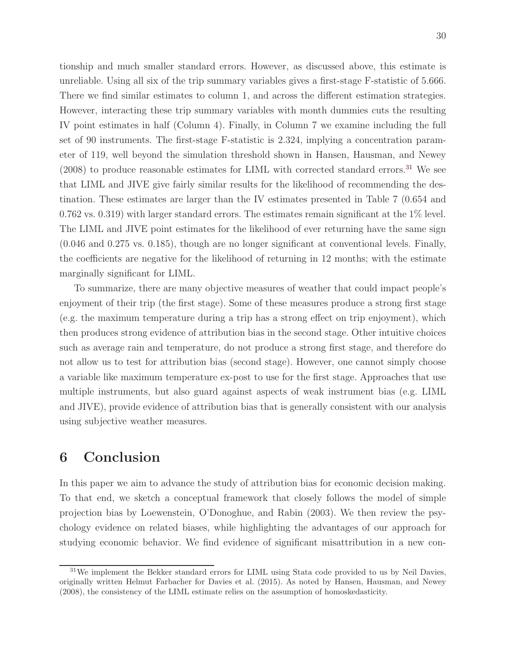There we find similar estimates to column 1, and across the different estimation strategies. However, interacting these trip summary variables with month dummies cuts the resulting IV point estimates in half (Column 4). Finally, in Column 7 we examine including the full set of 90 instruments. The first-stage F-statistic is 2.324, implying a concentration parameter of 119, well beyond the simulation threshold shown in Hansen, Hausman, and Newey  $(2008)$  to produce reasonable estimates for LIML with corrected standard errors.<sup>[31](#page-29-0)</sup> We see that LIML and JIVE give fairly similar results for the likelihood of recommending the destination. These estimates are larger than the IV estimates presented in Table 7 (0.654 and 0.762 vs. 0.319) with larger standard errors. The estimates remain significant at the 1% level. The LIML and JIVE point estimates for the likelihood of ever returning have the same sign (0.046 and 0.275 vs. 0.185), though are no longer significant at conventional levels. Finally, the coefficients are negative for the likelihood of returning in 12 months; with the estimate marginally significant for LIML.

To summarize, there are many objective measures of weather that could impact people's enjoyment of their trip (the first stage). Some of these measures produce a strong first stage (e.g. the maximum temperature during a trip has a strong effect on trip enjoyment), which then produces strong evidence of attribution bias in the second stage. Other intuitive choices such as average rain and temperature, do not produce a strong first stage, and therefore do not allow us to test for attribution bias (second stage). However, one cannot simply choose a variable like maximum temperature ex-post to use for the first stage. Approaches that use multiple instruments, but also guard against aspects of weak instrument bias (e.g. LIML and JIVE), provide evidence of attribution bias that is generally consistent with our analysis using subjective weather measures.

### 6 Conclusion

In this paper we aim to advance the study of attribution bias for economic decision making. To that end, we sketch a conceptual framework that closely follows the model of simple projection bias by Loewenstein, O'Donoghue, and Rabin (2003). We then review the psychology evidence on related biases, while highlighting the advantages of our approach for studying economic behavior. We find evidence of significant misattribution in a new con-

<span id="page-29-0"></span><sup>&</sup>lt;sup>31</sup>We implement the Bekker standard errors for LIML using Stata code provided to us by Neil Davies, originally written Helmut Farbacher for Davies et al. (2015). As noted by Hansen, Hausman, and Newey (2008), the consistency of the LIML estimate relies on the assumption of homoskedasticity.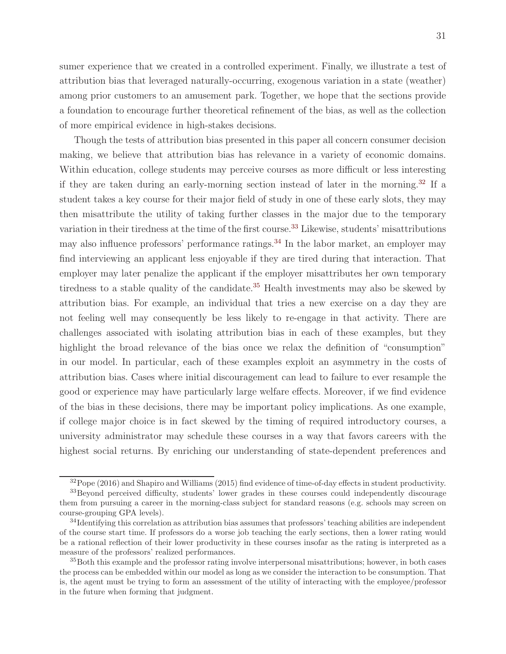sumer experience that we created in a controlled experiment. Finally, we illustrate a test of attribution bias that leveraged naturally-occurring, exogenous variation in a state (weather) among prior customers to an amusement park. Together, we hope that the sections provide a foundation to encourage further theoretical refinement of the bias, as well as the collection of more empirical evidence in high-stakes decisions.

Though the tests of attribution bias presented in this paper all concern consumer decision making, we believe that attribution bias has relevance in a variety of economic domains. Within education, college students may perceive courses as more difficult or less interesting if they are taken during an early-morning section instead of later in the morning.[32](#page-30-0) If a student takes a key course for their major field of study in one of these early slots, they may then misattribute the utility of taking further classes in the major due to the temporary variation in their tiredness at the time of the first course.<sup>[33](#page-30-1)</sup> Likewise, students' misattributions may also influence professors' performance ratings.<sup>[34](#page-30-2)</sup> In the labor market, an employer may find interviewing an applicant less enjoyable if they are tired during that interaction. That employer may later penalize the applicant if the employer misattributes her own temporary tiredness to a stable quality of the candidate.<sup>[35](#page-30-3)</sup> Health investments may also be skewed by attribution bias. For example, an individual that tries a new exercise on a day they are not feeling well may consequently be less likely to re-engage in that activity. There are challenges associated with isolating attribution bias in each of these examples, but they highlight the broad relevance of the bias once we relax the definition of "consumption" in our model. In particular, each of these examples exploit an asymmetry in the costs of attribution bias. Cases where initial discouragement can lead to failure to ever resample the good or experience may have particularly large welfare effects. Moreover, if we find evidence of the bias in these decisions, there may be important policy implications. As one example, if college major choice is in fact skewed by the timing of required introductory courses, a university administrator may schedule these courses in a way that favors careers with the highest social returns. By enriching our understanding of state-dependent preferences and

<span id="page-30-1"></span><span id="page-30-0"></span> $32$ Pope (2016) and Shapiro and Williams (2015) find evidence of time-of-day effects in student productivity. <sup>33</sup>Beyond perceived difficulty, students' lower grades in these courses could independently discourage them from pursuing a career in the morning-class subject for standard reasons (e.g. schools may screen on course-grouping GPA levels).

<span id="page-30-2"></span><sup>&</sup>lt;sup>34</sup>Identifying this correlation as attribution bias assumes that professors' teaching abilities are independent of the course start time. If professors do a worse job teaching the early sections, then a lower rating would be a rational reflection of their lower productivity in these courses insofar as the rating is interpreted as a measure of the professors' realized performances.

<span id="page-30-3"></span><sup>35</sup>Both this example and the professor rating involve interpersonal misattributions; however, in both cases the process can be embedded within our model as long as we consider the interaction to be consumption. That is, the agent must be trying to form an assessment of the utility of interacting with the employee/professor in the future when forming that judgment.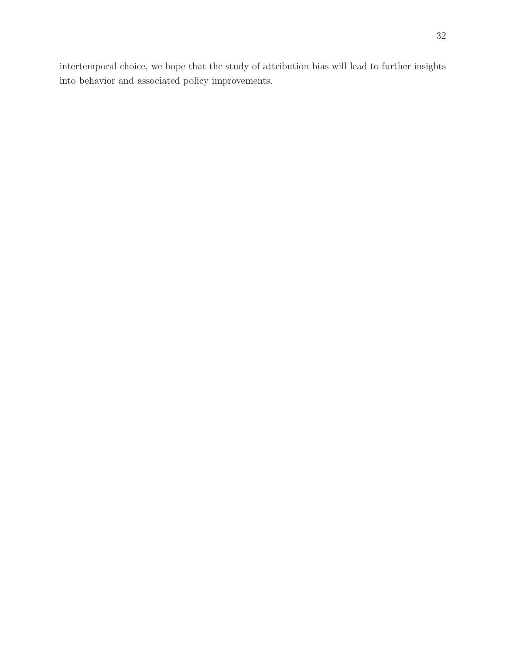intertemporal choice, we hope that the study of attribution bias will lead to further insights into behavior and associated policy improvements.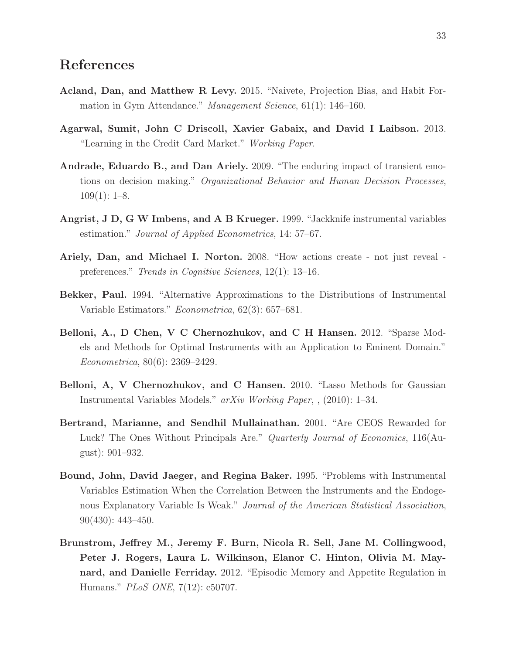### References

- Acland, Dan, and Matthew R Levy. 2015. "Naivete, Projection Bias, and Habit Formation in Gym Attendance." Management Science, 61(1): 146–160.
- Agarwal, Sumit, John C Driscoll, Xavier Gabaix, and David I Laibson. 2013. "Learning in the Credit Card Market." Working Paper.
- Andrade, Eduardo B., and Dan Ariely. 2009. "The enduring impact of transient emotions on decision making." Organizational Behavior and Human Decision Processes,  $109(1): 1-8.$
- Angrist, J D, G W Imbens, and A B Krueger. 1999. "Jackknife instrumental variables estimation." Journal of Applied Econometrics, 14: 57–67.
- Ariely, Dan, and Michael I. Norton. 2008. "How actions create not just reveal preferences." Trends in Cognitive Sciences, 12(1): 13–16.
- Bekker, Paul. 1994. "Alternative Approximations to the Distributions of Instrumental Variable Estimators." Econometrica, 62(3): 657–681.
- Belloni, A., D Chen, V C Chernozhukov, and C H Hansen. 2012. "Sparse Models and Methods for Optimal Instruments with an Application to Eminent Domain." Econometrica, 80(6): 2369–2429.
- Belloni, A, V Chernozhukov, and C Hansen. 2010. "Lasso Methods for Gaussian Instrumental Variables Models." arXiv Working Paper, , (2010): 1–34.
- Bertrand, Marianne, and Sendhil Mullainathan. 2001. "Are CEOS Rewarded for Luck? The Ones Without Principals Are." Quarterly Journal of Economics, 116(August): 901–932.
- Bound, John, David Jaeger, and Regina Baker. 1995. "Problems with Instrumental Variables Estimation When the Correlation Between the Instruments and the Endogenous Explanatory Variable Is Weak." Journal of the American Statistical Association, 90(430): 443–450.
- Brunstrom, Jeffrey M., Jeremy F. Burn, Nicola R. Sell, Jane M. Collingwood, Peter J. Rogers, Laura L. Wilkinson, Elanor C. Hinton, Olivia M. Maynard, and Danielle Ferriday. 2012. "Episodic Memory and Appetite Regulation in Humans." PLoS ONE, 7(12): e50707.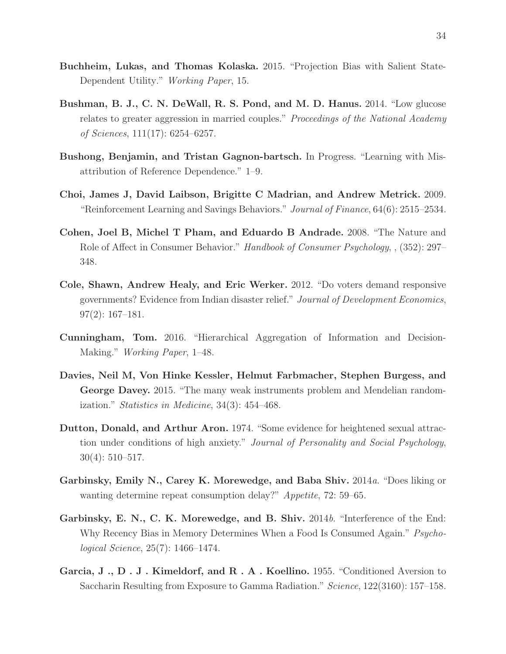- Buchheim, Lukas, and Thomas Kolaska. 2015. "Projection Bias with Salient State-Dependent Utility." Working Paper, 15.
- Bushman, B. J., C. N. DeWall, R. S. Pond, and M. D. Hanus. 2014. "Low glucose relates to greater aggression in married couples." Proceedings of the National Academy of Sciences, 111(17): 6254–6257.
- Bushong, Benjamin, and Tristan Gagnon-bartsch. In Progress. "Learning with Misattribution of Reference Dependence." 1–9.
- Choi, James J, David Laibson, Brigitte C Madrian, and Andrew Metrick. 2009. "Reinforcement Learning and Savings Behaviors." Journal of Finance, 64(6): 2515–2534.
- Cohen, Joel B, Michel T Pham, and Eduardo B Andrade. 2008. "The Nature and Role of Affect in Consumer Behavior." Handbook of Consumer Psychology, , (352): 297– 348.
- Cole, Shawn, Andrew Healy, and Eric Werker. 2012. "Do voters demand responsive governments? Evidence from Indian disaster relief." Journal of Development Economics, 97(2): 167–181.
- Cunningham, Tom. 2016. "Hierarchical Aggregation of Information and Decision-Making." Working Paper, 1–48.
- Davies, Neil M, Von Hinke Kessler, Helmut Farbmacher, Stephen Burgess, and George Davey. 2015. "The many weak instruments problem and Mendelian randomization." Statistics in Medicine, 34(3): 454–468.
- Dutton, Donald, and Arthur Aron. 1974. "Some evidence for heightened sexual attraction under conditions of high anxiety." Journal of Personality and Social Psychology, 30(4): 510–517.
- Garbinsky, Emily N., Carey K. Morewedge, and Baba Shiv. 2014a. "Does liking or wanting determine repeat consumption delay?" Appetite, 72: 59–65.
- Garbinsky, E. N., C. K. Morewedge, and B. Shiv. 2014b. "Interference of the End: Why Recency Bias in Memory Determines When a Food Is Consumed Again." Psychological Science, 25(7): 1466–1474.
- Garcia, J., D. J. Kimeldorf, and R. A. Koellino. 1955. "Conditioned Aversion to Saccharin Resulting from Exposure to Gamma Radiation." Science, 122(3160): 157–158.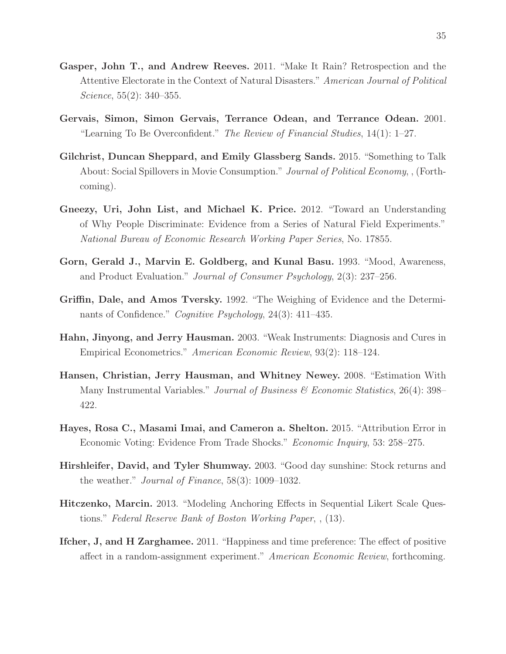- Gasper, John T., and Andrew Reeves. 2011. "Make It Rain? Retrospection and the Attentive Electorate in the Context of Natural Disasters." American Journal of Political Science, 55(2): 340–355.
- Gervais, Simon, Simon Gervais, Terrance Odean, and Terrance Odean. 2001. "Learning To Be Overconfident." The Review of Financial Studies,  $14(1)$ :  $1-27$ .
- Gilchrist, Duncan Sheppard, and Emily Glassberg Sands. 2015. "Something to Talk About: Social Spillovers in Movie Consumption." Journal of Political Economy, , (Forthcoming).
- Gneezy, Uri, John List, and Michael K. Price. 2012. "Toward an Understanding of Why People Discriminate: Evidence from a Series of Natural Field Experiments." National Bureau of Economic Research Working Paper Series, No. 17855.
- Gorn, Gerald J., Marvin E. Goldberg, and Kunal Basu. 1993. "Mood, Awareness, and Product Evaluation." Journal of Consumer Psychology, 2(3): 237–256.
- Griffin, Dale, and Amos Tversky. 1992. "The Weighing of Evidence and the Determinants of Confidence." Cognitive Psychology, 24(3): 411–435.
- Hahn, Jinyong, and Jerry Hausman. 2003. "Weak Instruments: Diagnosis and Cures in Empirical Econometrics." American Economic Review, 93(2): 118–124.
- Hansen, Christian, Jerry Hausman, and Whitney Newey. 2008. "Estimation With Many Instrumental Variables." Journal of Business  $\mathscr$  Economic Statistics, 26(4): 398– 422.
- Hayes, Rosa C., Masami Imai, and Cameron a. Shelton. 2015. "Attribution Error in Economic Voting: Evidence From Trade Shocks." Economic Inquiry, 53: 258–275.
- Hirshleifer, David, and Tyler Shumway. 2003. "Good day sunshine: Stock returns and the weather." Journal of Finance, 58(3): 1009–1032.
- Hitczenko, Marcin. 2013. "Modeling Anchoring Effects in Sequential Likert Scale Questions." Federal Reserve Bank of Boston Working Paper, , (13).
- Ifcher, J, and H Zarghamee. 2011. "Happiness and time preference: The effect of positive affect in a random-assignment experiment." American Economic Review, forthcoming.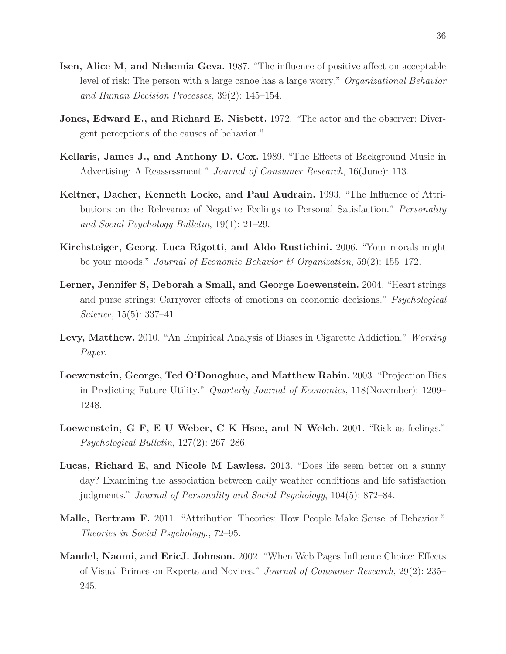- Isen, Alice M, and Nehemia Geva. 1987. "The influence of positive affect on acceptable level of risk: The person with a large canoe has a large worry." Organizational Behavior and Human Decision Processes, 39(2): 145–154.
- Jones, Edward E., and Richard E. Nisbett. 1972. "The actor and the observer: Divergent perceptions of the causes of behavior."
- Kellaris, James J., and Anthony D. Cox. 1989. "The Effects of Background Music in Advertising: A Reassessment." Journal of Consumer Research, 16(June): 113.
- Keltner, Dacher, Kenneth Locke, and Paul Audrain. 1993. "The Influence of Attributions on the Relevance of Negative Feelings to Personal Satisfaction." Personality and Social Psychology Bulletin, 19(1): 21–29.
- Kirchsteiger, Georg, Luca Rigotti, and Aldo Rustichini. 2006. "Your morals might be your moods." Journal of Economic Behavior  $\mathcal C$  Organization, 59(2): 155–172.
- Lerner, Jennifer S, Deborah a Small, and George Loewenstein. 2004. "Heart strings and purse strings: Carryover effects of emotions on economic decisions." Psychological Science, 15(5): 337–41.
- Levy, Matthew. 2010. "An Empirical Analysis of Biases in Cigarette Addiction." Working Paper.
- Loewenstein, George, Ted O'Donoghue, and Matthew Rabin. 2003. "Projection Bias in Predicting Future Utility." Quarterly Journal of Economics, 118(November): 1209– 1248.
- Loewenstein, G F, E U Weber, C K Hsee, and N Welch. 2001. "Risk as feelings." Psychological Bulletin, 127(2): 267–286.
- Lucas, Richard E, and Nicole M Lawless. 2013. "Does life seem better on a sunny day? Examining the association between daily weather conditions and life satisfaction judgments." Journal of Personality and Social Psychology, 104(5): 872–84.
- Malle, Bertram F. 2011. "Attribution Theories: How People Make Sense of Behavior." Theories in Social Psychology., 72–95.
- Mandel, Naomi, and EricJ. Johnson. 2002. "When Web Pages Influence Choice: Effects of Visual Primes on Experts and Novices." Journal of Consumer Research, 29(2): 235– 245.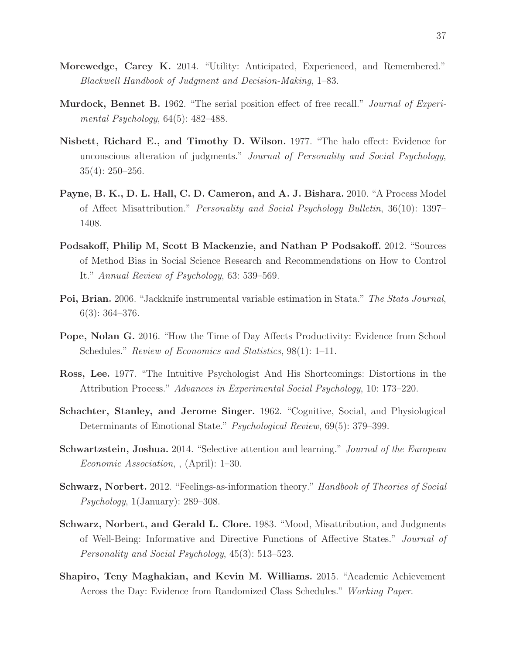- Morewedge, Carey K. 2014. "Utility: Anticipated, Experienced, and Remembered." Blackwell Handbook of Judgment and Decision-Making, 1–83.
- **Murdock, Bennet B.** 1962. "The serial position effect of free recall." *Journal of Experi*mental Psychology, 64(5): 482–488.
- Nisbett, Richard E., and Timothy D. Wilson. 1977. "The halo effect: Evidence for unconscious alteration of judgments." Journal of Personality and Social Psychology, 35(4): 250–256.
- Payne, B. K., D. L. Hall, C. D. Cameron, and A. J. Bishara. 2010. "A Process Model of Affect Misattribution." Personality and Social Psychology Bulletin, 36(10): 1397– 1408.
- Podsakoff, Philip M, Scott B Mackenzie, and Nathan P Podsakoff. 2012. "Sources of Method Bias in Social Science Research and Recommendations on How to Control It." Annual Review of Psychology, 63: 539–569.
- Poi, Brian. 2006. "Jackknife instrumental variable estimation in Stata." The Stata Journal, 6(3): 364–376.
- Pope, Nolan G. 2016. "How the Time of Day Affects Productivity: Evidence from School Schedules." *Review of Economics and Statistics*, 98(1): 1–11.
- Ross, Lee. 1977. "The Intuitive Psychologist And His Shortcomings: Distortions in the Attribution Process." Advances in Experimental Social Psychology, 10: 173–220.
- Schachter, Stanley, and Jerome Singer. 1962. "Cognitive, Social, and Physiological Determinants of Emotional State." Psychological Review, 69(5): 379–399.
- Schwartzstein, Joshua. 2014. "Selective attention and learning." Journal of the European Economic Association, , (April): 1–30.
- Schwarz, Norbert. 2012. "Feelings-as-information theory." Handbook of Theories of Social Psychology, 1(January): 289–308.
- Schwarz, Norbert, and Gerald L. Clore. 1983. "Mood, Misattribution, and Judgments of Well-Being: Informative and Directive Functions of Affective States." Journal of Personality and Social Psychology, 45(3): 513–523.
- Shapiro, Teny Maghakian, and Kevin M. Williams. 2015. "Academic Achievement Across the Day: Evidence from Randomized Class Schedules." Working Paper.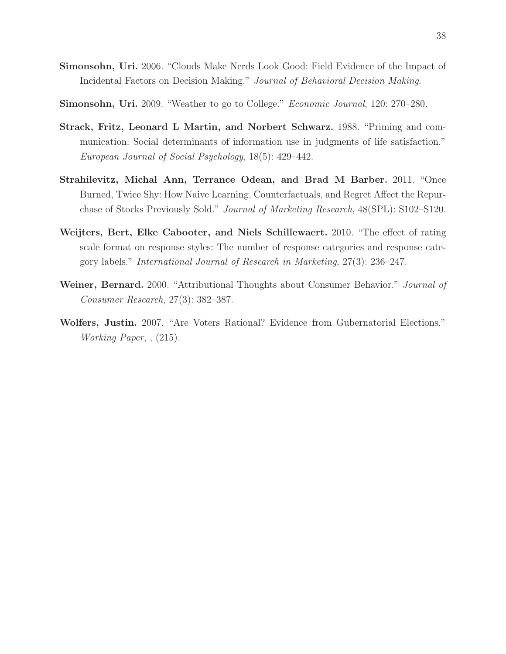- Simonsohn, Uri. 2006. "Clouds Make Nerds Look Good: Field Evidence of the Impact of Incidental Factors on Decision Making." Journal of Behavioral Decision Making.
- Simonsohn, Uri. 2009. "Weather to go to College." Economic Journal, 120: 270–280.
- Strack, Fritz, Leonard L Martin, and Norbert Schwarz. 1988. "Priming and communication: Social determinants of information use in judgments of life satisfaction." European Journal of Social Psychology, 18(5): 429–442.
- Strahilevitz, Michal Ann, Terrance Odean, and Brad M Barber. 2011. "Once Burned, Twice Shy: How Naive Learning, Counterfactuals, and Regret Affect the Repurchase of Stocks Previously Sold." Journal of Marketing Research, 48(SPL): S102–S120.
- Weijters, Bert, Elke Cabooter, and Niels Schillewaert. 2010. "The effect of rating scale format on response styles: The number of response categories and response category labels." International Journal of Research in Marketing, 27(3): 236–247.
- Weiner, Bernard. 2000. "Attributional Thoughts about Consumer Behavior." *Journal of* Consumer Research, 27(3): 382–387.
- Wolfers, Justin. 2007. "Are Voters Rational? Evidence from Gubernatorial Elections." Working Paper, , (215).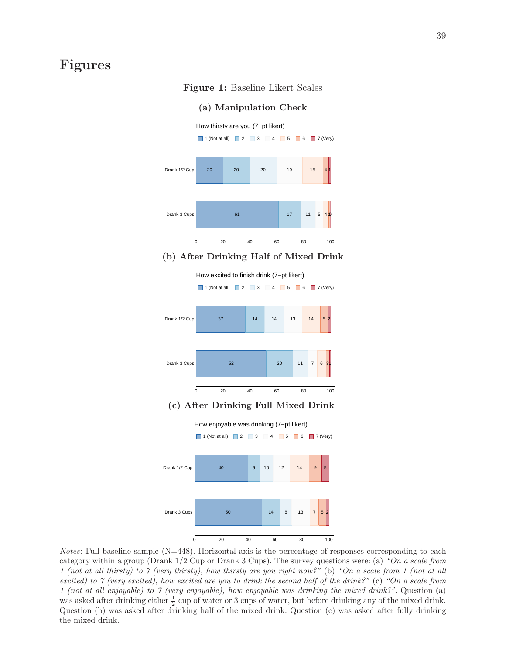### Figures

#### Figure 1: Baseline Likert Scales



#### (a) Manipulation Check

#### (b) After Drinking Half of Mixed Drink



#### (c) After Drinking Full Mixed Drink



*Notes*: Full baseline sample  $(N=448)$ . Horizontal axis is the percentage of responses corresponding to each category within a group (Drank  $1/2$  Cup or Drank 3 Cups). The survey questions were: (a) "On a scale from 1 (not at all thirsty) to 7 (very thirsty), how thirsty are you right now?" (b) "On a scale from 1 (not at all excited) to 7 (very excited), how excited are you to drink the second half of the drink?" (c) "On a scale from 1 (not at all enjoyable) to 7 (very enjoyable), how enjoyable was drinking the mixed drink?". Question (a) was asked after drinking either  $\frac{1}{2}$  cup of water or 3 cups of water, but before drinking any of the mixed drink. Question (b) was asked after drinking half of the mixed drink. Question (c) was asked after fully drinking the mixed drink.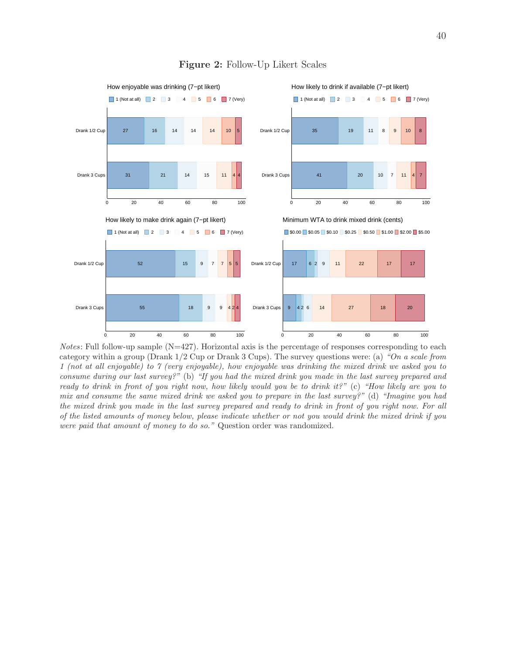

#### Figure 2: Follow-Up Likert Scales

*Notes*: Full follow-up sample  $(N=427)$ . Horizontal axis is the percentage of responses corresponding to each category within a group (Drank  $1/2$  Cup or Drank 3 Cups). The survey questions were: (a) "On a scale from 1 (not at all enjoyable) to 7 (very enjoyable), how enjoyable was drinking the mixed drink we asked you to consume during our last survey?" (b) "If you had the mixed drink you made in the last survey prepared and ready to drink in front of you right now, how likely would you be to drink it?" (c) "How likely are you to mix and consume the same mixed drink we asked you to prepare in the last survey?" (d) "Imagine you had the mixed drink you made in the last survey prepared and ready to drink in front of you right now. For all of the listed amounts of money below, please indicate whether or not you would drink the mixed drink if you were paid that amount of money to do so." Question order was randomized.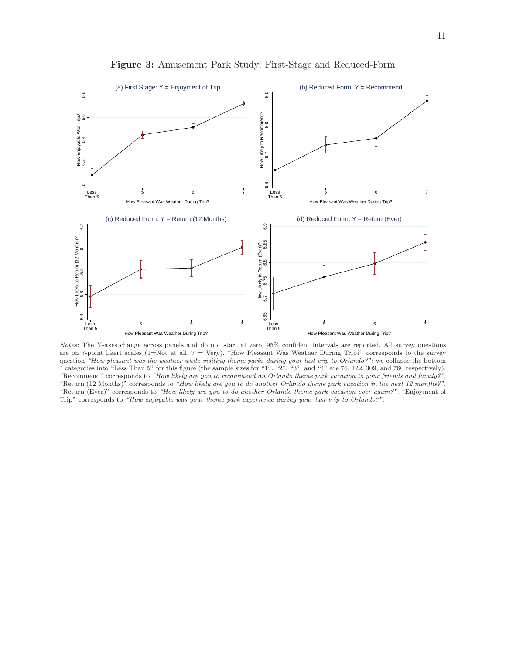

Figure 3: Amusement Park Study: First-Stage and Reduced-Form

Notes: The Y-axes change across panels and do not start at zero. 95% confident intervals are reported. All survey questions are on 7-point likert scales (1=Not at all,  $7 = \text{Very}$ ). "How Pleasant Was Weather During Trip?" corresponds to the survey question "How pleasant was the weather while visiting theme parks during your last trip to Orlando?"; we collapse the bottom 4 categories into "Less Than 5" for this figure (the sample sizes for "1", "2", "3", and "4" are 76, 122, 309, and 760 respectively). "Recommend" corresponds to "How likely are you to recommend an Orlando theme park vacation to your friends and family?". "Return (12 Months)" corresponds to "How likely are you to do another Orlando theme park vacation in the next 12 months?". "Return (Ever)" corresponds to "How likely are you to do another Orlando theme park vacation ever again?". "Enjoyment of Trip" corresponds to "How enjoyable was your theme park experience during your last trip to Orlando?".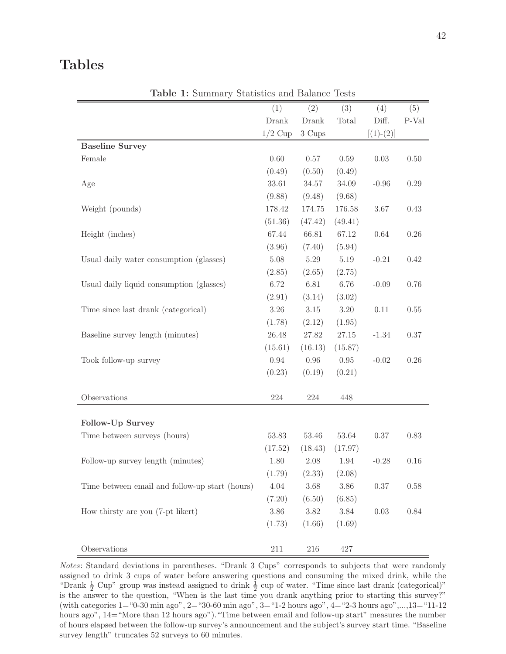### Tables

| <b>rapic 1.</b> Dammary Deatholds and Datance  |           |          |           |             |          |
|------------------------------------------------|-----------|----------|-----------|-------------|----------|
|                                                | (1)       | (2)      | (3)       | (4)         | (5)      |
|                                                | Drank     | Drank    | Total     | Diff.       | P-Val    |
|                                                | $1/2$ Cup | 3 Cups   |           | $[(1)-(2)]$ |          |
| <b>Baseline Survey</b>                         |           |          |           |             |          |
| Female                                         | 0.60      | 0.57     | $0.59\,$  | 0.03        | $0.50\,$ |
|                                                | (0.49)    | (0.50)   | (0.49)    |             |          |
| Age                                            | 33.61     | 34.57    | 34.09     | $-0.96$     | $0.29\,$ |
|                                                | (9.88)    | (9.48)   | (9.68)    |             |          |
| Weight (pounds)                                | 178.42    | 174.75   | 176.58    | $3.67\,$    | 0.43     |
|                                                | (51.36)   | (47.42)  | (49.41)   |             |          |
| Height (inches)                                | 67.44     | 66.81    | 67.12     | 0.64        | $0.26\,$ |
|                                                | (3.96)    | (7.40)   | (5.94)    |             |          |
| Usual daily water consumption (glasses)        | $5.08\,$  | $5.29\,$ | $5.19\,$  | $-0.21$     | 0.42     |
|                                                | (2.85)    | (2.65)   | (2.75)    |             |          |
| Usual daily liquid consumption (glasses)       | 6.72      | 6.81     | 6.76      | $-0.09$     | 0.76     |
|                                                | (2.91)    | (3.14)   | (3.02)    |             |          |
| Time since last drank (categorical)            | $3.26\,$  | $3.15\,$ | $3.20\,$  | 0.11        | $0.55\,$ |
|                                                | (1.78)    | (2.12)   | (1.95)    |             |          |
| Baseline survey length (minutes)               | $26.48\,$ | 27.82    | $27.15\,$ | $-1.34$     | $0.37\,$ |
|                                                | (15.61)   | (16.13)  | (15.87)   |             |          |
| Took follow-up survey                          | $0.94\,$  | $0.96\,$ | 0.95      | $-0.02$     | $0.26\,$ |
|                                                | (0.23)    | (0.19)   | (0.21)    |             |          |
|                                                |           |          |           |             |          |
| Observations                                   | $224\,$   | $224\,$  | 448       |             |          |
|                                                |           |          |           |             |          |
| Follow-Up Survey                               |           |          |           |             |          |
| Time between surveys (hours)                   | 53.83     | 53.46    | 53.64     | 0.37        | 0.83     |
|                                                | (17.52)   | (18.43)  | (17.97)   |             |          |
| Follow-up survey length (minutes)              | 1.80      | 2.08     | 1.94      | $-0.28$     | $0.16\,$ |
|                                                | (1.79)    | (2.33)   | (2.08)    |             |          |
| Time between email and follow-up start (hours) | $4.04\,$  | $3.68\,$ | $3.86\,$  | 0.37        | 0.58     |
|                                                | (7.20)    | (6.50)   | (6.85)    |             |          |
| How thirsty are you (7-pt likert)              | $3.86\,$  | $3.82\,$ | $3.84\,$  | 0.03        | 0.84     |
|                                                | (1.73)    | (1.66)   | (1.69)    |             |          |
| Observations                                   | 211       | 216      | 427       |             |          |

Table 1: Summary Statistics and Balance Tests

Notes: Standard deviations in parentheses. "Drank 3 Cups" corresponds to subjects that were randomly assigned to drink 3 cups of water before answering questions and consuming the mixed drink, while the "Drank  $\frac{1}{2}$  Cup" group was instead assigned to drink  $\frac{1}{2}$  cup of water. "Time since last drank (categorical)" is the answer to the question, "When is the last time you drank anything prior to starting this survey?" (with categories  $1=$  "0-30 min ago",  $2=$  "30-60 min ago",  $3=$  "1-2 hours ago",  $4=$  "2-3 hours ago",..., $13=$  "11-12 hours ago", 14="More than 12 hours ago")."Time between email and follow-up start" measures the number of hours elapsed between the follow-up survey's announcement and the subject's survey start time. "Baseline survey length" truncates 52 surveys to 60 minutes.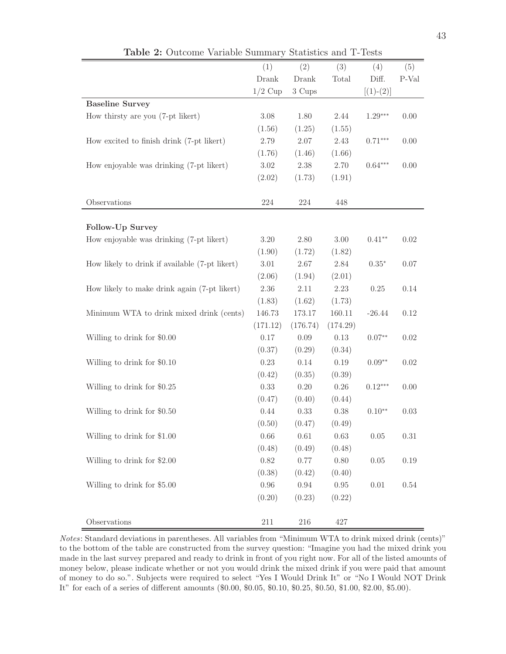|                                                | (1)       | (2)      | (3)      | (4)         | (5)     |
|------------------------------------------------|-----------|----------|----------|-------------|---------|
|                                                | Drank     | Drank    | Total    | Diff.       | $P-Val$ |
|                                                | $1/2$ Cup | 3 Cups   |          | $[(1)-(2)]$ |         |
| <b>Baseline Survey</b>                         |           |          |          |             |         |
| How thirsty are you (7-pt likert)              | $3.08\,$  | 1.80     | $2.44\,$ | $1.29***$   | 0.00    |
|                                                | (1.56)    | (1.25)   | (1.55)   |             |         |
| How excited to finish drink (7-pt likert)      | 2.79      | 2.07     | 2.43     | $0.71***$   | 0.00    |
|                                                | (1.76)    | (1.46)   | (1.66)   |             |         |
| How enjoyable was drinking (7-pt likert)       | 3.02      | 2.38     | 2.70     | $0.64***$   | 0.00    |
|                                                | (2.02)    | (1.73)   | (1.91)   |             |         |
|                                                |           |          |          |             |         |
| Observations                                   | 224       | $224\,$  | 448      |             |         |
|                                                |           |          |          |             |         |
| Follow-Up Survey                               |           |          |          |             |         |
| How enjoyable was drinking (7-pt likert)       | $3.20\,$  | 2.80     | $3.00\,$ | $0.41**$    | 0.02    |
|                                                | (1.90)    | (1.72)   | (1.82)   |             |         |
| How likely to drink if available (7-pt likert) | 3.01      | 2.67     | $2.84\,$ | $0.35*$     | 0.07    |
|                                                | (2.06)    | (1.94)   | (2.01)   |             |         |
| How likely to make drink again (7-pt likert)   | 2.36      | 2.11     | 2.23     | 0.25        | 0.14    |
|                                                | (1.83)    | (1.62)   | (1.73)   |             |         |
| Minimum WTA to drink mixed drink (cents)       | 146.73    | 173.17   | 160.11   | $-26.44$    | 0.12    |
|                                                | (171.12)  | (176.74) | (174.29) |             |         |
| Willing to drink for \$0.00                    | $0.17\,$  | 0.09     | 0.13     | $0.07**$    | 0.02    |
|                                                | (0.37)    | (0.29)   | (0.34)   |             |         |
| Willing to drink for \$0.10                    | 0.23      | 0.14     | 0.19     | $0.09**$    | 0.02    |
|                                                | (0.42)    | (0.35)   | (0.39)   |             |         |
| Willing to drink for \$0.25                    | 0.33      | 0.20     | $0.26\,$ | $0.12***$   | 0.00    |
|                                                | (0.47)    | (0.40)   | (0.44)   |             |         |
| Willing to drink for \$0.50                    | 0.44      | 0.33     | $0.38\,$ | $0.10**$    | 0.03    |
|                                                | (0.50)    | (0.47)   | (0.49)   |             |         |
| Willing to drink for \$1.00                    | 0.66      | $0.61\,$ | 0.63     | $0.05\,$    | 0.31    |
|                                                | (0.48)    | (0.49)   | (0.48)   |             |         |
| Willing to drink for \$2.00                    | 0.82      | $0.77\,$ | 0.80     | $0.05\,$    | 0.19    |
|                                                | (0.38)    | (0.42)   | (0.40)   |             |         |
| Willing to drink for \$5.00                    | $0.96\,$  | $0.94\,$ | $0.95\,$ | $0.01\,$    | 0.54    |
|                                                | (0.20)    | (0.23)   | (0.22)   |             |         |
|                                                |           |          |          |             |         |
| Observations                                   | $211\,$   | 216      | 427      |             |         |

Table 2: Outcome Variable Summary Statistics and T-Tests

Notes: Standard deviations in parentheses. All variables from "Minimum WTA to drink mixed drink (cents)" to the bottom of the table are constructed from the survey question: "Imagine you had the mixed drink you made in the last survey prepared and ready to drink in front of you right now. For all of the listed amounts of money below, please indicate whether or not you would drink the mixed drink if you were paid that amount of money to do so.". Subjects were required to select "Yes I Would Drink It" or "No I Would NOT Drink It" for each of a series of different amounts (\$0.00, \$0.05, \$0.10, \$0.25, \$0.50, \$1.00, \$2.00, \$5.00).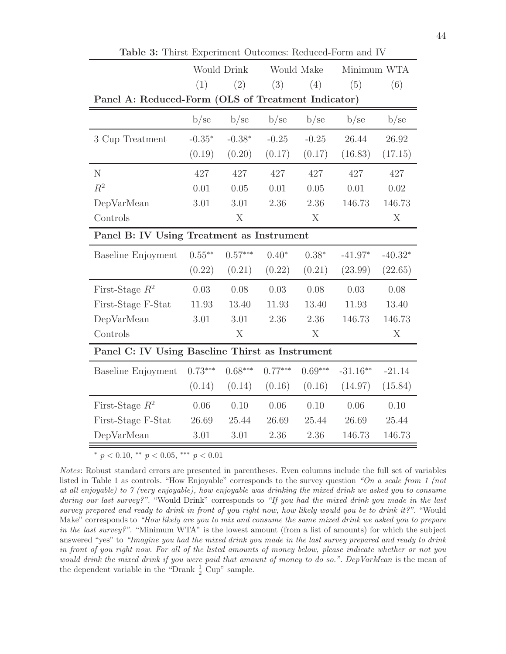|                                                    | <b>Would Drink</b> |           |           | Would Make | Minimum WTA |           |
|----------------------------------------------------|--------------------|-----------|-----------|------------|-------------|-----------|
|                                                    | (1)                | (2)       | (3)       | (4)        | (5)         | (6)       |
| Panel A: Reduced-Form (OLS of Treatment Indicator) |                    |           |           |            |             |           |
|                                                    | b/se               | b/sec     | b/sec     | b/sec      | b/sec       | b/se      |
| 3 Cup Treatment                                    | $-0.35*$           | $-0.38*$  | $-0.25$   | $-0.25$    | 26.44       | 26.92     |
|                                                    | (0.19)             | (0.20)    | (0.17)    | (0.17)     | (16.83)     | (17.15)   |
| $\mathbf N$                                        | 427                | 427       | 427       | 427        | 427         | 427       |
| $R^2$                                              | 0.01               | 0.05      | 0.01      | 0.05       | 0.01        | 0.02      |
| DepVarMean                                         | 3.01               | 3.01      | 2.36      | 2.36       | 146.73      | 146.73    |
| Controls                                           |                    | X         |           | X          |             | X         |
| Panel B: IV Using Treatment as Instrument          |                    |           |           |            |             |           |
| <b>Baseline Enjoyment</b>                          | $0.55***$          | $0.57***$ | $0.40*$   | $0.38*$    | $-41.97*$   | $-40.32*$ |
|                                                    | (0.22)             | (0.21)    | (0.22)    | (0.21)     | (23.99)     | (22.65)   |
| First-Stage $R^2$                                  | 0.03               | 0.08      | 0.03      | 0.08       | 0.03        | 0.08      |
| First-Stage F-Stat                                 | 11.93              | 13.40     | 11.93     | 13.40      | 11.93       | 13.40     |
| DepVarMean                                         | $3.01\,$           | 3.01      | 2.36      | 2.36       | 146.73      | 146.73    |
| Controls                                           |                    | X         |           | X          |             | X         |
| Panel C: IV Using Baseline Thirst as Instrument    |                    |           |           |            |             |           |
| <b>Baseline Enjoyment</b>                          | $0.73***$          | $0.68***$ | $0.77***$ | $0.69***$  | $-31.16**$  | $-21.14$  |
|                                                    | (0.14)             | (0.14)    | (0.16)    | (0.16)     | (14.97)     | (15.84)   |
| First-Stage $R^2$                                  | 0.06               | 0.10      | 0.06      | 0.10       | 0.06        | 0.10      |
| First-Stage F-Stat                                 | 26.69              | 25.44     | 26.69     | 25.44      | 26.69       | 25.44     |
| DepVarMean                                         | 3.01               | 3.01      | 2.36      | 2.36       | 146.73      | 146.73    |

Table 3: Thirst Experiment Outcomes: Reduced-Form and IV

<sup>∗</sup> p < 0.10, ∗∗ p < 0.05, ∗∗∗ p < 0.01

Notes: Robust standard errors are presented in parentheses. Even columns include the full set of variables listed in Table 1 as controls. "How Enjoyable" corresponds to the survey question "On a scale from 1 (not at all enjoyable) to 7 (very enjoyable), how enjoyable was drinking the mixed drink we asked you to consume during our last survey?". "Would Drink" corresponds to "If you had the mixed drink you made in the last survey prepared and ready to drink in front of you right now, how likely would you be to drink it?". "Would Make" corresponds to "How likely are you to mix and consume the same mixed drink we asked you to prepare in the last survey?". "Minimum WTA" is the lowest amount (from a list of amounts) for which the subject answered "yes" to "Imagine you had the mixed drink you made in the last survey prepared and ready to drink in front of you right now. For all of the listed amounts of money below, please indicate whether or not you would drink the mixed drink if you were paid that amount of money to do so.". DepVarMean is the mean of the dependent variable in the "Drank  $\frac{1}{2}$  Cup" sample.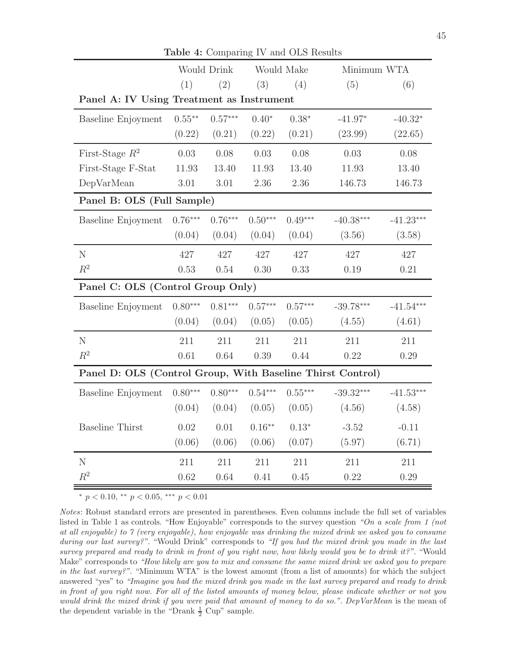|                                                            |           | Would Drink |           | Would Make | Minimum WTA |             |
|------------------------------------------------------------|-----------|-------------|-----------|------------|-------------|-------------|
|                                                            | (1)       | (2)         | (3)       | (4)        | (5)         | (6)         |
| Panel A: IV Using Treatment as Instrument                  |           |             |           |            |             |             |
| Baseline Enjoyment                                         | $0.55***$ | $0.57***$   | $0.40*$   | $0.38*$    | $-41.97*$   | $-40.32*$   |
|                                                            | (0.22)    | (0.21)      | (0.22)    | (0.21)     | (23.99)     | (22.65)     |
| First-Stage $R^2$                                          | 0.03      | 0.08        | 0.03      | 0.08       | 0.03        | 0.08        |
| First-Stage F-Stat                                         | 11.93     | 13.40       | 11.93     | 13.40      | 11.93       | 13.40       |
| DepVarMean                                                 | 3.01      | 3.01        | 2.36      | 2.36       | 146.73      | 146.73      |
| Panel B: OLS (Full Sample)                                 |           |             |           |            |             |             |
| <b>Baseline Enjoyment</b>                                  | $0.76***$ | $0.76***$   | $0.50***$ | $0.49***$  | $-40.38***$ | $-41.23***$ |
|                                                            | (0.04)    | (0.04)      | (0.04)    | (0.04)     | (3.56)      | (3.58)      |
| ${\rm N}$                                                  | 427       | 427         | 427       | 427        | 427         | 427         |
| $\mathbb{R}^2$                                             | 0.53      | 0.54        | 0.30      | 0.33       | 0.19        | 0.21        |
| Panel C: OLS (Control Group Only)                          |           |             |           |            |             |             |
| <b>Baseline Enjoyment</b>                                  | $0.80***$ | $0.81***$   | $0.57***$ | $0.57***$  | $-39.78***$ | $-41.54***$ |
|                                                            | (0.04)    | (0.04)      | (0.05)    | (0.05)     | (4.55)      | (4.61)      |
| N                                                          | 211       | 211         | 211       | 211        | 211         | 211         |
| $R^2$                                                      | 0.61      | 0.64        | 0.39      | 0.44       | 0.22        | 0.29        |
| Panel D: OLS (Control Group, With Baseline Thirst Control) |           |             |           |            |             |             |
| Baseline Enjoyment                                         | $0.80***$ | $0.80***$   | $0.54***$ | $0.55***$  | $-39.32***$ | $-41.53***$ |
|                                                            | (0.04)    | (0.04)      | (0.05)    | (0.05)     | (4.56)      | (4.58)      |
| <b>Baseline Thirst</b>                                     | 0.02      | 0.01        | $0.16***$ | $0.13*$    | $-3.52$     | $-0.11$     |
|                                                            | (0.06)    | (0.06)      | (0.06)    | (0.07)     | (5.97)      | (6.71)      |
| $\mathbf N$                                                | 211       | 211         | 211       | 211        | 211         | 211         |
| $R^2$                                                      | 0.62      | 0.64        | 0.41      | 0.45       | 0.22        | 0.29        |

Table 4: Comparing IV and OLS Results

\*  $p < 0.10,$  \*\*  $p < 0.05,$  \*\*\*  $p < 0.01$ 

Notes: Robust standard errors are presented in parentheses. Even columns include the full set of variables listed in Table 1 as controls. "How Enjoyable" corresponds to the survey question "On a scale from 1 (not at all enjoyable) to 7 (very enjoyable), how enjoyable was drinking the mixed drink we asked you to consume during our last survey?". "Would Drink" corresponds to "If you had the mixed drink you made in the last survey prepared and ready to drink in front of you right now, how likely would you be to drink it?". "Would Make" corresponds to "How likely are you to mix and consume the same mixed drink we asked you to prepare in the last survey?". "Minimum WTA" is the lowest amount (from a list of amounts) for which the subject answered "yes" to "Imagine you had the mixed drink you made in the last survey prepared and ready to drink in front of you right now. For all of the listed amounts of money below, please indicate whether or not you would drink the mixed drink if you were paid that amount of money to do so.". DepVarMean is the mean of the dependent variable in the "Drank  $\frac{1}{2}$  Cup" sample.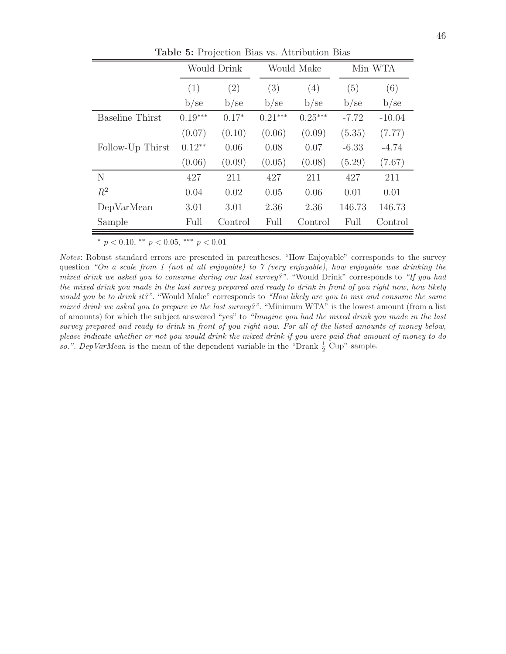|                        |           | <b>Would Drink</b> |           | Would Make | Min WTA |          |  |
|------------------------|-----------|--------------------|-----------|------------|---------|----------|--|
|                        | (1)       | (2)                | (3)       | (4)        | (5)     | (6)      |  |
|                        | b/sec     | b/sec              | b/sec     | b/sec      | b/sec   | b/sec    |  |
| <b>Baseline Thirst</b> | $0.19***$ | $0.17*$            | $0.21***$ | $0.25***$  | $-7.72$ | $-10.04$ |  |
|                        | (0.07)    | (0.10)             | (0.06)    | (0.09)     | (5.35)  | (7.77)   |  |
| Follow-Up Thirst       | $0.12**$  | 0.06               | 0.08      | 0.07       | $-6.33$ | $-4.74$  |  |
|                        | (0.06)    | (0.09)             | (0.05)    | (0.08)     | (5.29)  | (7.67)   |  |
| N                      | 427       | 211                | 427       | 211        | 427     | 211      |  |
| $R^2$                  | 0.04      | 0.02               | 0.05      | 0.06       | 0.01    | 0.01     |  |
| DepVarMean             | 3.01      | 3.01               | 2.36      | 2.36       | 146.73  | 146.73   |  |
| Sample                 | Full      | Control            | Full      | Control    | Full    | Control  |  |

Table 5: Projection Bias vs. Attribution Bias

<sup>∗</sup> p < 0.10, ∗∗ p < 0.05, ∗∗∗ p < 0.01

Notes: Robust standard errors are presented in parentheses. "How Enjoyable" corresponds to the survey question "On a scale from 1 (not at all enjoyable) to 7 (very enjoyable), how enjoyable was drinking the mixed drink we asked you to consume during our last survey?". "Would Drink" corresponds to "If you had the mixed drink you made in the last survey prepared and ready to drink in front of you right now, how likely would you be to drink it?". "Would Make" corresponds to "How likely are you to mix and consume the same mixed drink we asked you to prepare in the last survey?". "Minimum WTA" is the lowest amount (from a list of amounts) for which the subject answered "yes" to "Imagine you had the mixed drink you made in the last survey prepared and ready to drink in front of you right now. For all of the listed amounts of money below, please indicate whether or not you would drink the mixed drink if you were paid that amount of money to do so.". DepVarMean is the mean of the dependent variable in the "Drank  $\frac{1}{2}$  Cup" sample.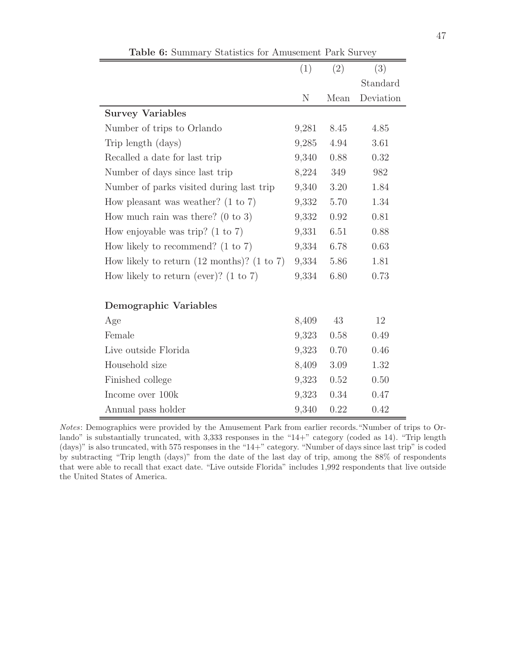|                                                                  | (1)   | (2)  | (3)       |
|------------------------------------------------------------------|-------|------|-----------|
|                                                                  |       |      | Standard  |
|                                                                  | N     | Mean | Deviation |
| <b>Survey Variables</b>                                          |       |      |           |
| Number of trips to Orlando                                       | 9,281 | 8.45 | 4.85      |
| Trip length (days)                                               | 9,285 | 4.94 | 3.61      |
| Recalled a date for last trip                                    | 9,340 | 0.88 | 0.32      |
| Number of days since last trip                                   | 8,224 | 349  | 982       |
| Number of parks visited during last trip                         | 9,340 | 3.20 | 1.84      |
| How pleasant was weather? $(1 \text{ to } 7)$                    | 9,332 | 5.70 | 1.34      |
| How much rain was there? $(0 \text{ to } 3)$                     | 9,332 | 0.92 | 0.81      |
| How enjoyable was trip? $(1 \text{ to } 7)$                      | 9,331 | 6.51 | 0.88      |
| How likely to recommend? $(1 \text{ to } 7)$                     | 9,334 | 6.78 | 0.63      |
| How likely to return $(12 \text{ months})$ ? $(1 \text{ to } 7)$ | 9,334 | 5.86 | 1.81      |
| How likely to return (ever)? $(1 \text{ to } 7)$                 | 9,334 | 6.80 | 0.73      |
| Demographic Variables                                            |       |      |           |
| Age                                                              | 8,409 | 43   | 12        |
| Female                                                           | 9,323 | 0.58 | 0.49      |
| Live outside Florida                                             | 9,323 | 0.70 | 0.46      |
| Household size                                                   | 8,409 | 3.09 | 1.32      |
| Finished college                                                 | 9,323 | 0.52 | 0.50      |
| Income over 100k                                                 | 9,323 | 0.34 | 0.47      |
| Annual pass holder                                               | 9,340 | 0.22 | 0.42      |

Table 6: Summary Statistics for Amusement Park Survey

Notes: Demographics were provided by the Amusement Park from earlier records."Number of trips to Orlando" is substantially truncated, with 3,333 responses in the "14+" category (coded as 14). "Trip length (days)" is also truncated, with 575 responses in the "14+" category. "Number of days since last trip" is coded by subtracting "Trip length (days)" from the date of the last day of trip, among the 88% of respondents that were able to recall that exact date. "Live outside Florida" includes 1,992 respondents that live outside the United States of America.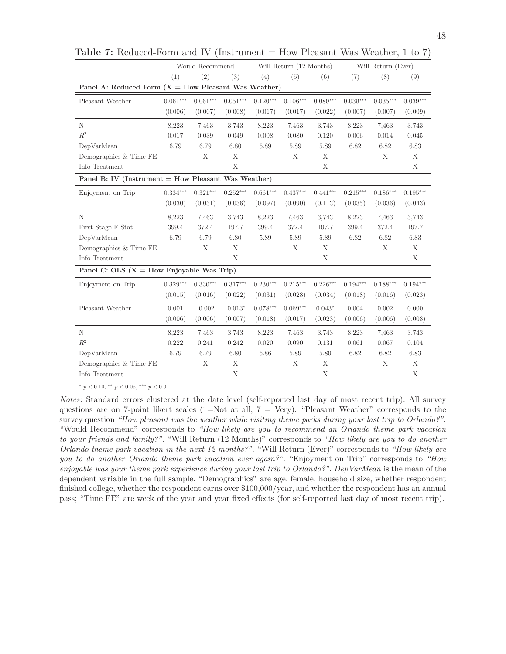|                                                        |            | Would Recommend |            |            | Will Return (12 Months) |            |            | Will Return (Ever) |            |
|--------------------------------------------------------|------------|-----------------|------------|------------|-------------------------|------------|------------|--------------------|------------|
|                                                        | (1)        | (2)             | (3)        | (4)        | (5)                     | (6)        | (7)        | (8)                | (9)        |
| Panel A: Reduced Form $(X = How$ Pleasant Was Weather) |            |                 |            |            |                         |            |            |                    |            |
| Pleasant Weather                                       | $0.061***$ | $0.061***$      | $0.051***$ | $0.120***$ | $0.106***$              | $0.089***$ | $0.039***$ | $0.035***$         | $0.039***$ |
|                                                        | (0.006)    | (0.007)         | (0.008)    | (0.017)    | (0.017)                 | (0.022)    | (0.007)    | (0.007)            | (0.009)    |
| N                                                      | 8,223      | 7,463           | 3,743      | 8,223      | 7,463                   | 3,743      | 8,223      | 7,463              | 3,743      |
| $R^2$                                                  | 0.017      | 0.039           | 0.049      | 0.008      | 0.080                   | 0.120      | 0.006      | 0.014              | 0.045      |
| DepVarMean                                             | 6.79       | 6.79            | 6.80       | 5.89       | 5.89                    | 5.89       | 6.82       | 6.82               | 6.83       |
| Demographics & Time FE                                 |            | X               | X          |            | X                       | X          |            | X                  | X          |
| Info Treatment                                         |            |                 | X          |            |                         | X          |            |                    | X          |
| Panel B: IV (Instrument = How Pleasant Was Weather)    |            |                 |            |            |                         |            |            |                    |            |
| Enjoyment on Trip                                      | $0.334***$ | $0.321***$      | $0.252***$ | $0.661***$ | $0.437***$              | $0.441***$ | $0.215***$ | $0.186***$         | $0.195***$ |
|                                                        | (0.030)    | (0.031)         | (0.036)    | (0.097)    | (0.090)                 | (0.113)    | (0.035)    | (0.036)            | (0.043)    |
| N                                                      | 8,223      | 7,463           | 3,743      | 8,223      | 7,463                   | 3,743      | 8,223      | 7,463              | 3,743      |
| First-Stage F-Stat                                     | 399.4      | 372.4           | 197.7      | 399.4      | 372.4                   | 197.7      | 399.4      | 372.4              | 197.7      |
| DepVarMean                                             | 6.79       | 6.79            | 6.80       | 5.89       | 5.89                    | 5.89       | 6.82       | 6.82               | 6.83       |
| Demographics $\&$ Time $\rm FE$                        |            | X               | X          |            | X                       | X          |            | X                  | X          |
| Info Treatment                                         |            |                 | X          |            |                         | X          |            |                    | X          |
| Panel C: OLS $(X = How Enjoyable Was Trip)$            |            |                 |            |            |                         |            |            |                    |            |
| Enjoyment on Trip                                      | $0.329***$ | $0.330***$      | $0.317***$ | $0.230***$ | $0.215***$              | $0.226***$ | $0.194***$ | $0.188***$         | $0.194***$ |
|                                                        | (0.015)    | (0.016)         | (0.022)    | (0.031)    | (0.028)                 | (0.034)    | (0.018)    | (0.016)            | (0.023)    |
| Pleasant Weather                                       | 0.001      | $-0.002$        | $-0.013*$  | $0.078***$ | $0.069***$              | $0.043*$   | 0.004      | 0.002              | 0.000      |
|                                                        | (0.006)    | (0.006)         | (0.007)    | (0.018)    | (0.017)                 | (0.023)    | (0.006)    | (0.006)            | (0.008)    |
| N                                                      | 8,223      | 7,463           | 3,743      | 8,223      | 7,463                   | 3,743      | 8,223      | 7,463              | 3,743      |
| $R^2$                                                  | 0.222      | 0.241           | 0.242      | 0.020      | 0.090                   | $0.131\,$  | 0.061      | 0.067              | 0.104      |
| DepVarMean                                             | 6.79       | 6.79            | 6.80       | 5.86       | 5.89                    | 5.89       | 6.82       | 6.82               | 6.83       |
| Demographics & Time FE                                 |            | X               | X          |            | X                       | X          |            | X                  | X          |
| Info Treatment                                         |            |                 | X          |            |                         | X          |            |                    | X          |

**Table 7:** Reduced-Form and IV (Instrument  $=$  How Pleasant Was Weather, 1 to 7)

<sup>∗</sup> p < 0.10, ∗∗ p < 0.05, ∗∗∗ p < 0.01

Notes: Standard errors clustered at the date level (self-reported last day of most recent trip). All survey questions are on 7-point likert scales (1=Not at all,  $7 = \text{Very}$ ). "Pleasant Weather" corresponds to the survey question "How pleasant was the weather while visiting theme parks during your last trip to Orlando?". "Would Recommend" corresponds to "How likely are you to recommend an Orlando theme park vacation to your friends and family?". "Will Return (12 Months)" corresponds to "How likely are you to do another Orlando theme park vacation in the next 12 months?". "Will Return (Ever)" corresponds to "How likely are you to do another Orlando theme park vacation ever again?". "Enjoyment on Trip" corresponds to "How enjoyable was your theme park experience during your last trip to Orlando?". DepVarMean is the mean of the dependent variable in the full sample. "Demographics" are age, female, household size, whether respondent finished college, whether the respondent earns over \$100,000/year, and whether the respondent has an annual pass; "Time FE" are week of the year and year fixed effects (for self-reported last day of most recent trip).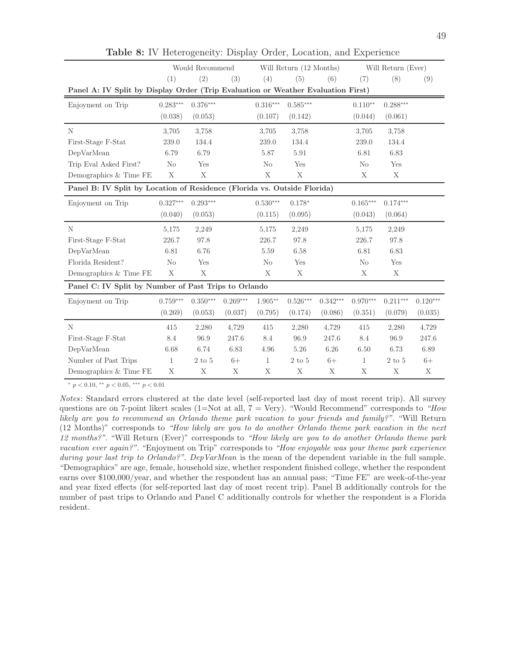|                                                                                  | Would Recommend |                  |            | Will Return (12 Months) |             |            | Will Return (Ever) |              |            |
|----------------------------------------------------------------------------------|-----------------|------------------|------------|-------------------------|-------------|------------|--------------------|--------------|------------|
|                                                                                  | (1)             | (2)              | (3)        | (4)                     | (5)         | (6)        | (7)                | (8)          | (9)        |
| Panel A: IV Split by Display Order (Trip Evaluation or Weather Evaluation First) |                 |                  |            |                         |             |            |                    |              |            |
| Enjoyment on Trip                                                                | $0.283***$      | $0.376***$       |            | $0.316***$              | $0.585***$  |            | $0.110**$          | $0.288***$   |            |
|                                                                                  | (0.038)         | (0.053)          |            | (0.107)                 | (0.142)     |            | (0.044)            | (0.061)      |            |
| N                                                                                | 3,705           | 3,758            |            | 3,705                   | 3.758       |            | 3,705              | 3,758        |            |
| First-Stage F-Stat                                                               | 239.0           | 134.4            |            | 239.0                   | 134.4       |            | 239.0              | 134.4        |            |
| DepVarMean                                                                       | 6.79            | 6.79             |            | 5.87                    | 5.91        |            | 6.81               | 6.83         |            |
| Trip Eval Asked First?                                                           | N <sub>o</sub>  | Yes              |            | N <sub>o</sub>          | Yes         |            | No                 | Yes          |            |
| Demographics & Time FE                                                           | X               | X                |            | $\mathbf X$             | $\mathbf X$ |            | X                  | Х            |            |
| Panel B: IV Split by Location of Residence (Florida vs. Outside Florida)         |                 |                  |            |                         |             |            |                    |              |            |
| Enjoyment on Trip                                                                | $0.327***$      | $0.293***$       |            | $0.530***$              | $0.178*$    |            | $0.165***$         | $0.174***$   |            |
|                                                                                  | (0.040)         | (0.053)          |            | (0.115)                 | (0.095)     |            | (0.043)            | (0.064)      |            |
| N                                                                                | 5,175           | 2,249            |            | 5,175                   | 2,249       |            | 5,175              | 2,249        |            |
| First-Stage F-Stat                                                               | 226.7           | 97.8             |            | 226.7                   | 97.8        |            | 226.7              | 97.8         |            |
| DepVarMean                                                                       | 6.81            | 6.76             |            | 5.59                    | 6.58        |            | 6.81               | 6.83         |            |
|                                                                                  |                 |                  |            |                         |             |            |                    |              |            |
| Florida Resident?                                                                | $\rm No$        | Yes              |            | N <sub>o</sub>          | Yes         |            | No                 | Yes          |            |
| Demographics & Time FE                                                           | X               | X                |            | X                       | Χ           |            | X                  | Χ            |            |
| Panel C: IV Split by Number of Past Trips to Orlando                             |                 |                  |            |                         |             |            |                    |              |            |
| Enjoyment on Trip                                                                | $0.759***$      | $0.350***$       | $0.269***$ | $1.905***$              | $0.526***$  | $0.342***$ | $0.970***$         | $0.211***$   | $0.120***$ |
|                                                                                  | (0.269)         | (0.053)          | (0.037)    | (0.795)                 | (0.174)     | (0.086)    | (0.351)            | (0.079)      | (0.035)    |
| N                                                                                | 415             | 2,280            | 4,729      | 415                     | 2,280       | 4,729      | 415                | 2,280        | 4,729      |
| First-Stage F-Stat                                                               | 8.4             | 96.9             | 247.6      | 8.4                     | 96.9        | 247.6      | 8.4                | 96.9         | 247.6      |
| DepVarMean                                                                       | 6.68            | 6.74             | 6.83       | 4.96                    | 5.26        | 6.26       | 6.50               | 6.73         | 6.89       |
| Number of Past Trips                                                             | 1               | $2\ {\rm to}\ 5$ | $6+$       | $\mathbf{1}$            | $2$ to $5$  | $6+$       | $\mathbf{1}$       | $2$ to $5\,$ | $6+$       |

Table 8: IV Heterogeneity: Display Order, Location, and Experience

<sup>∗</sup> p < 0.10, ∗∗ p < 0.05, ∗∗∗ p < 0.01

Notes: Standard errors clustered at the date level (self-reported last day of most recent trip). All survey questions are on 7-point likert scales (1=Not at all,  $7 = \text{Very}$ ). "Would Recommend" corresponds to "How likely are you to recommend an Orlando theme park vacation to your friends and family?". "Will Return (12 Months)" corresponds to "How likely are you to do another Orlando theme park vacation in the next 12 months?". "Will Return (Ever)" corresponds to "How likely are you to do another Orlando theme park vacation ever again?". "Enjoyment on Trip" corresponds to "How enjoyable was your theme park experience during your last trip to Orlando?". DepVarMean is the mean of the dependent variable in the full sample. "Demographics" are age, female, household size, whether respondent finished college, whether the respondent earns over \$100,000/year, and whether the respondent has an annual pass; "Time FE" are week-of-the-year and year fixed effects (for self-reported last day of most recent trip). Panel B additionally controls for the number of past trips to Orlando and Panel C additionally controls for whether the respondent is a Florida resident.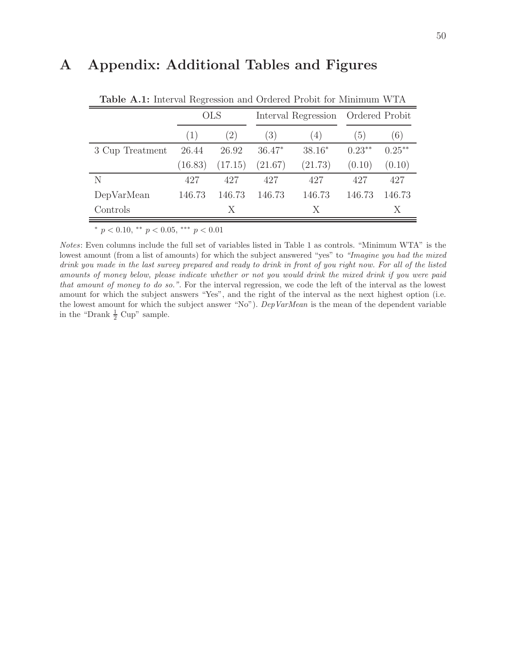# A Appendix: Additional Tables and Figures

|                 |                  | <b>OLS</b> |          | Interval Regression | Ordered Probit |           |  |
|-----------------|------------------|------------|----------|---------------------|----------------|-----------|--|
|                 | $\left(1\right)$ | (2)        | (3)      | (4)                 | (5)            | (6)       |  |
| 3 Cup Treatment | 26.44            | 26.92      | $36.47*$ | $38.16*$            | $0.23***$      | $0.25***$ |  |
|                 | (16.83)          | (17.15)    | (21.67)  | (21.73)             | (0.10)         | (0.10)    |  |
| N               | 427              | 427        | 427      | 427                 | 427            | 427       |  |
| DepVarMean      | 146.73           | 146.73     | 146.73   | 146.73              | 146.73         | 146.73    |  |
| Controls        |                  | X          |          | X                   |                | X         |  |

Table A.1: Interval Regression and Ordered Probit for Minimum WTA

<sup>∗</sup> p < 0.10, ∗∗ p < 0.05, ∗∗∗ p < 0.01

Notes: Even columns include the full set of variables listed in Table 1 as controls. "Minimum WTA" is the lowest amount (from a list of amounts) for which the subject answered "yes" to "Imagine you had the mixed drink you made in the last survey prepared and ready to drink in front of you right now. For all of the listed amounts of money below, please indicate whether or not you would drink the mixed drink if you were paid that amount of money to do so.". For the interval regression, we code the left of the interval as the lowest amount for which the subject answers "Yes", and the right of the interval as the next highest option (i.e. the lowest amount for which the subject answer "No"). DepVarMean is the mean of the dependent variable in the "Drank  $\frac{1}{2}$  Cup" sample.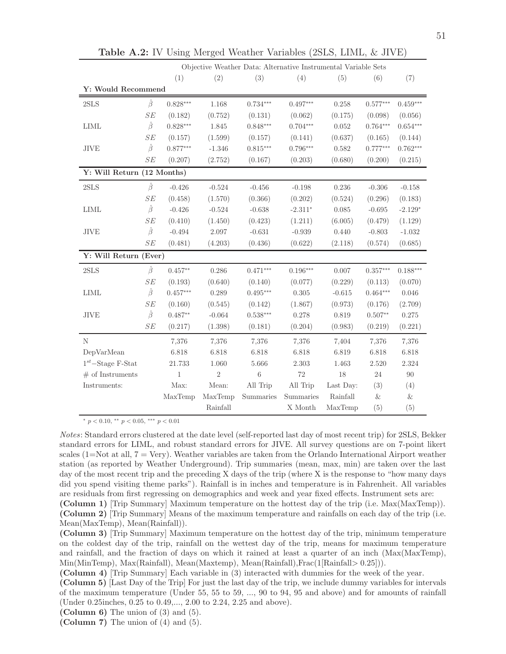|                            |               |             |            | Objective Weather Data: Alternative Instrumental Variable Sets |            |           |            |            |
|----------------------------|---------------|-------------|------------|----------------------------------------------------------------|------------|-----------|------------|------------|
|                            |               | (1)         | (2)        | (3)                                                            | (4)        | (5)       | (6)        | (7)        |
| Y: Would Recommend         |               |             |            |                                                                |            |           |            |            |
| $2{\rm SLS}$               | $\hat{\beta}$ | $0.828***$  | 1.168      | $0.734***$                                                     | $0.497***$ | 0.258     | $0.577***$ | $0.459***$ |
|                            | SE            | (0.182)     | (0.752)    | (0.131)                                                        | (0.062)    | (0.175)   | (0.098)    | (0.056)    |
| <b>LIML</b>                | $\hat{\beta}$ | $0.828***$  | 1.845      | $0.848***$                                                     | $0.704***$ | 0.052     | $0.764***$ | $0.654***$ |
|                            | SE            | (0.157)     | (1.599)    | (0.157)                                                        | (0.141)    | (0.637)   | (0.165)    | (0.144)    |
| JIVE                       | $\hat{\beta}$ | $0.877***$  | $-1.346$   | $0.815***$                                                     | $0.796***$ | 0.582     | $0.777***$ | $0.762***$ |
|                            | SE            | (0.207)     | (2.752)    | (0.167)                                                        | (0.203)    | (0.680)   | (0.200)    | (0.215)    |
| Y: Will Return (12 Months) |               |             |            |                                                                |            |           |            |            |
| 2SLS                       | $\hat{\beta}$ | $-0.426$    | $-0.524$   | $-0.456$                                                       | $-0.198$   | 0.236     | $-0.306$   | $-0.158$   |
|                            | SE            | (0.458)     | (1.570)    | (0.366)                                                        | (0.202)    | (0.524)   | (0.296)    | (0.183)    |
| <b>LIML</b>                | $\hat{\beta}$ | $-0.426$    | $-0.524$   | $-0.638$                                                       | $-2.311*$  | 0.085     | $-0.695$   | $-2.129*$  |
|                            | SE            | (0.410)     | (1.450)    | (0.423)                                                        | (1.211)    | (6.005)   | (0.479)    | (1.129)    |
| $\rm JIVE$                 | $\hat{\beta}$ | $-0.494$    | 2.097      | $-0.631$                                                       | $-0.939$   | 0.440     | $-0.803$   | $-1.032$   |
|                            | SE            | (0.481)     | (4.203)    | (0.436)                                                        | (0.622)    | (2.118)   | (0.574)    | (0.685)    |
| Y: Will Return (Ever)      |               |             |            |                                                                |            |           |            |            |
| 2SLS                       | $\hat{\beta}$ | $0.457**$   | 0.286      | $0.471***$                                                     | $0.196***$ | 0.007     | $0.357***$ | $0.188***$ |
|                            | SE            | (0.193)     | (0.640)    | (0.140)                                                        | (0.077)    | (0.229)   | (0.113)    | (0.070)    |
| $\text{LIML}{}$            | $\hat{\beta}$ | $0.457***$  | 0.289      | $0.495***$                                                     | 0.305      | $-0.615$  | $0.464***$ | 0.046      |
|                            | SE            | (0.160)     | (0.545)    | (0.142)                                                        | (1.867)    | (0.973)   | (0.176)    | (2.709)    |
| JIVE                       | $\hat{\beta}$ | $0.487**$   | $-0.064$   | $0.538***$                                                     | 0.278      | 0.819     | $0.507**$  | $0.275\,$  |
|                            | SE            | (0.217)     | (1.398)    | (0.181)                                                        | (0.204)    | (0.983)   | (0.219)    | (0.221)    |
| N                          |               | 7,376       | 7,376      | 7,376                                                          | 7,376      | 7,404     | 7,376      | 7,376      |
| DepVarMean                 |               | 6.818       | 6.818      | 6.818                                                          | 6.818      | 6.819     | 6.818      | 6.818      |
| $1^{st}$ -Stage F-Stat     |               | 21.733      | 1.060      | 5.666                                                          | 2.303      | 1.463     | 2.520      | 2.324      |
| $#$ of Instruments         |               | $\mathbf 1$ | $\sqrt{2}$ | $\,6\,$                                                        | 72         | 18        | $24\,$     | $90\,$     |
| $\\Instruments:$           |               | Max:        | Mean:      | All Trip                                                       | All Trip   | Last Day: | (3)        | (4)        |
|                            |               | MaxTemp     | MaxTemp    | Summaries                                                      | Summaries  | Rainfall  | &          | &          |
|                            |               |             | Rainfall   |                                                                | X Month    | MaxTemp   | (5)        | (5)        |

Table A.2: IV Using Merged Weather Variables (2SLS, LIML, & JIVE)

<sup>∗</sup> p < 0.10, ∗∗ p < 0.05, ∗∗∗ p < 0.01

Notes: Standard errors clustered at the date level (self-reported last day of most recent trip) for 2SLS, Bekker standard errors for LIML, and robust standard errors for JIVE. All survey questions are on 7-point likert scales (1=Not at all,  $7 = \text{Very}$ ). Weather variables are taken from the Orlando International Airport weather station (as reported by Weather Underground). Trip summaries (mean, max, min) are taken over the last day of the most recent trip and the preceding X days of the trip (where X is the response to "how many days did you spend visiting theme parks"). Rainfall is in inches and temperature is in Fahrenheit. All variables are residuals from first regressing on demographics and week and year fixed effects. Instrument sets are:

(Column 4) [Trip Summary] Each variable in (3) interacted with dummies for the week of the year.

<sup>(</sup>Column 1) [Trip Summary] Maximum temperature on the hottest day of the trip (i.e. Max(MaxTemp)). (Column 2) [Trip Summary] Means of the maximum temperature and rainfalls on each day of the trip (i.e. Mean(MaxTemp), Mean(Rainfall)).

<sup>(</sup>Column 3) [Trip Summary] Maximum temperature on the hottest day of the trip, minimum temperature on the coldest day of the trip, rainfall on the wettest day of the trip, means for maximum temperature and rainfall, and the fraction of days on which it rained at least a quarter of an inch (Max(MaxTemp), Min(MinTemp), Max(Rainfall), Mean(Maxtemp), Mean(Rainfall),Frac(1[Rainfall> 0.25])).

<sup>(</sup>Column 5) [Last Day of the Trip] For just the last day of the trip, we include dummy variables for intervals of the maximum temperature (Under 55, 55 to 59, ..., 90 to 94, 95 and above) and for amounts of rainfall (Under 0.25inches, 0.25 to 0.49,..., 2.00 to 2.24, 2.25 and above).

<sup>(</sup>Column 6) The union of  $(3)$  and  $(5)$ .

<sup>(</sup>Column 7) The union of (4) and (5).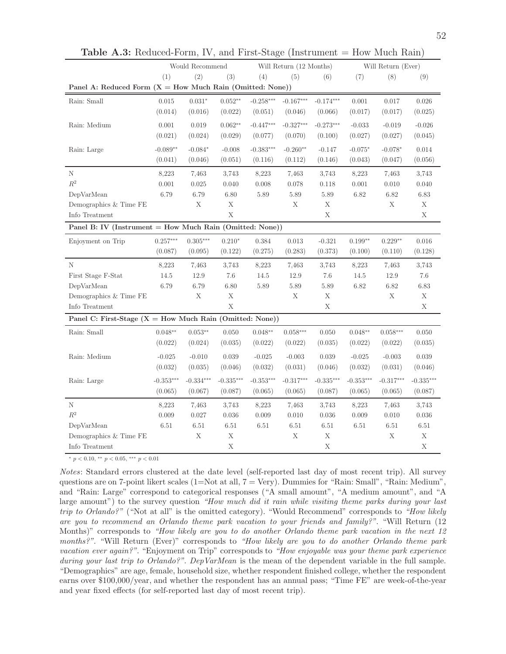|                                                             |             | Would Recommend |             |             | Will Return (12 Months) |             |             | Will Return (Ever) |             |
|-------------------------------------------------------------|-------------|-----------------|-------------|-------------|-------------------------|-------------|-------------|--------------------|-------------|
|                                                             | (1)         | (2)             | (3)         | (4)         | (5)                     | (6)         | (7)         | (8)                | (9)         |
| Panel A: Reduced Form $(X = How Much Rain (Omitted: None))$ |             |                 |             |             |                         |             |             |                    |             |
| Rain: Small                                                 | 0.015       | $0.031*$        | $0.052**$   | $-0.258***$ | $-0.167***$             | $-0.174***$ | 0.001       | 0.017              | 0.026       |
|                                                             | (0.014)     | (0.016)         | (0.022)     | (0.051)     | (0.046)                 | (0.066)     | (0.017)     | (0.017)            | (0.025)     |
| Rain: Medium                                                | 0.001       | 0.019           | $0.062**$   | $-0.447***$ | $-0.327***$             | $-0.273***$ | $-0.033$    | $-0.019$           | $-0.026$    |
|                                                             | (0.021)     | (0.024)         | (0.029)     | (0.077)     | (0.070)                 | (0.100)     | (0.027)     | (0.027)            | (0.045)     |
| Rain: Large                                                 | $-0.089**$  | $-0.084*$       | $-0.008$    | $-0.383***$ | $-0.260**$              | $-0.147$    | $-0.075*$   | $-0.078*$          | 0.014       |
|                                                             | (0.041)     | (0.046)         | (0.051)     | (0.116)     | (0.112)                 | (0.146)     | (0.043)     | (0.047)            | (0.056)     |
| Ν                                                           | 8,223       | 7,463           | 3,743       | 8,223       | 7,463                   | 3,743       | 8,223       | 7,463              | 3,743       |
| $\mathbb{R}^2$                                              | 0.001       | 0.025           | 0.040       | 0.008       | 0.078                   | 0.118       | 0.001       | 0.010              | 0.040       |
| DepVarMean                                                  | 6.79        | 6.79            | 6.80        | 5.89        | 5.89                    | 5.89        | 6.82        | 6.82               | 6.83        |
| Demographics & Time FE                                      |             | X               | X           |             | X                       | X           |             | X                  | X           |
| Info Treatment                                              |             |                 | X           |             |                         | X           |             |                    | X           |
| Panel B: IV (Instrument = How Much Rain (Omitted: None))    |             |                 |             |             |                         |             |             |                    |             |
| Enjoyment on Trip                                           | $0.257***$  | $0.305***$      | $0.210*$    | 0.384       | $\rm 0.013$             | $-0.321$    | $0.199**$   | $0.229**$          | 0.016       |
|                                                             | (0.087)     | (0.095)         | (0.122)     | (0.275)     | (0.283)                 | (0.373)     | (0.100)     | (0.110)            | (0.128)     |
| N                                                           | 8,223       | 7.463           | 3.743       | 8,223       | 7.463                   | 3.743       | 8,223       | 7.463              | 3.743       |
| First Stage F-Stat                                          | 14.5        | 12.9            | 7.6         | 14.5        | 12.9                    | 7.6         | 14.5        | 12.9               | 7.6         |
| DepVarMean                                                  | 6.79        | 6.79            | 6.80        | 5.89        | 5.89                    | 5.89        | 6.82        | 6.82               | 6.83        |
| Demographics & Time FE                                      |             | X               | $\mathbf X$ |             | $\mathbf X$             | $\rm X$     |             | $\mathbf X$        | $\mathbf X$ |
| Info Treatment                                              |             |                 | $\mathbf X$ |             |                         | $\mathbf X$ |             |                    | $\mathbf X$ |
| Panel C: First-Stage $(X = How Much Rain (Omitted: None))$  |             |                 |             |             |                         |             |             |                    |             |
| Rain: Small                                                 | $0.048**$   | $0.053**$       | 0.050       | $0.048**$   | $0.058***$              | 0.050       | $0.048**$   | $0.058***$         | 0.050       |
|                                                             | (0.022)     | (0.024)         | (0.035)     | (0.022)     | (0.022)                 | (0.035)     | (0.022)     | (0.022)            | (0.035)     |
| Rain: Medium                                                | $-0.025$    | $-0.010$        | 0.039       | $-0.025$    | $-0.003$                | 0.039       | $-0.025$    | $-0.003$           | 0.039       |
|                                                             | (0.032)     | (0.035)         | (0.046)     | (0.032)     | (0.031)                 | (0.046)     | (0.032)     | (0.031)            | (0.046)     |
| Rain: Large                                                 | $-0.353***$ | $-0.334***$     | $-0.335***$ | $-0.353***$ | $-0.317***$             | $-0.335***$ | $-0.353***$ | $-0.317***$        | $-0.335***$ |
|                                                             | (0.065)     | (0.067)         | (0.087)     | (0.065)     | (0.065)                 | (0.087)     | (0.065)     | (0.065)            | (0.087)     |
| Ν                                                           | 8,223       | 7,463           | 3,743       | 8,223       | 7,463                   | 3,743       | 8,223       | 7,463              | 3,743       |
| $\mathbb{R}^2$                                              | 0.009       | $0.027\,$       | 0.036       | 0.009       | $0.010\,$               | 0.036       | 0.009       | 0.010              | 0.036       |
| DepVarMean                                                  | 6.51        | 6.51            | $6.51\,$    | $6.51\,$    | $6.51\,$                | $6.51\,$    | 6.51        | $6.51\,$           | $6.51\,$    |
| Demographics & Time FE                                      |             | $\mathbf X$     | $\mathbf X$ |             | $\mathbf X$             | $\mathbf X$ |             | $\mathbf X$        | $\mathbf X$ |
| Info Treatment                                              |             |                 | $\mathbf X$ |             |                         | $\mathbf X$ |             |                    | $\mathbf X$ |

**Table A.3:** Reduced-Form, IV, and First-Stage (Instrument  $=$  How Much Rain)

<sup>∗</sup> p < 0.10, ∗∗ p < 0.05, ∗∗∗ p < 0.01

Notes: Standard errors clustered at the date level (self-reported last day of most recent trip). All survey questions are on 7-point likert scales (1=Not at all, 7 = Very). Dummies for "Rain: Small", "Rain: Medium", and "Rain: Large" correspond to categorical responses ("A small amount", "A medium amount", and "A large amount") to the survey question "How much did it rain while visiting theme parks during your last trip to Orlando?" ("Not at all" is the omitted category). "Would Recommend" corresponds to "How likely are you to recommend an Orlando theme park vacation to your friends and family?". "Will Return (12 Months)" corresponds to "How likely are you to do another Orlando theme park vacation in the next 12 months?". "Will Return (Ever)" corresponds to "How likely are you to do another Orlando theme park vacation ever again?". "Enjoyment on Trip" corresponds to "How enjoyable was your theme park experience during your last trip to Orlando?". DepVarMean is the mean of the dependent variable in the full sample. "Demographics" are age, female, household size, whether respondent finished college, whether the respondent earns over \$100,000/year, and whether the respondent has an annual pass; "Time FE" are week-of-the-year and year fixed effects (for self-reported last day of most recent trip).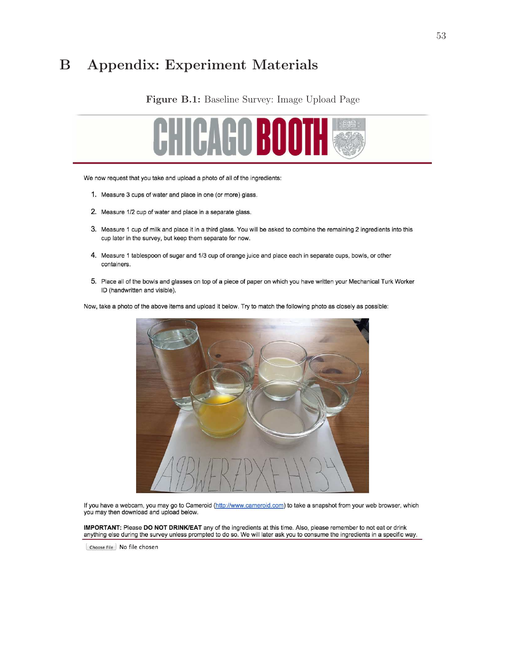# B Appendix: Experiment Materials

#### Figure B.1: Baseline Survey: Image Upload Page



We now request that you take and upload a photo of all of the ingredients:

- 1. Measure 3 cups of water and place in one (or more) glass.
- 2. Measure 1/2 cup of water and place in a separate glass.
- 3. Measure 1 cup of milk and place it in a third glass. You will be asked to combine the remaining 2 ingredients into this cup later in the survey, but keep them separate for now.
- 4. Measure 1 tablespoon of sugar and 1/3 cup of orange juice and place each in separate cups, bowls, or other containers.
- 5. Place all of the bowls and glasses on top of a piece of paper on which you have written your Mechanical Turk Worker ID (handwritten and visible).

Now, take a photo of the above items and upload it below. Try to match the following photo as closely as possible:



If you have a webcam, you may go to Cameroid (http://www.cameroid.com) to take a snapshot from your web browser, which you may then download and upload below.

IMPORTANT: Please DO NOT DRINK/EAT any of the ingredients at this time. Also, please remember to not eat or drink anything else during the survey unless prompted to do so. We will later ask you to consume the ingredients in a specific way.

Choose File | No file chosen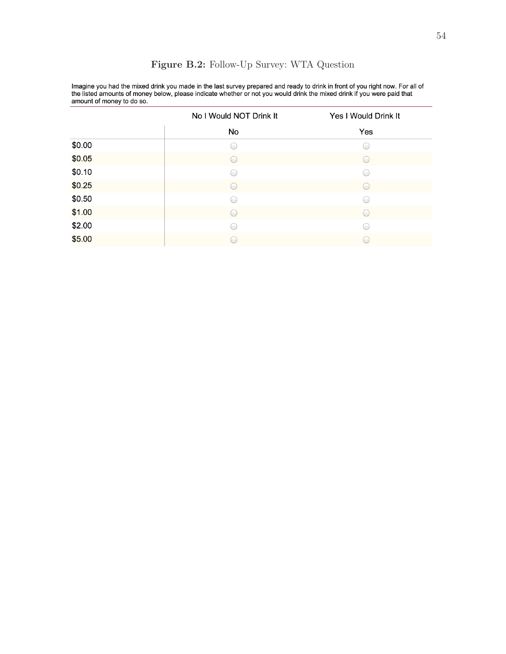| allioulit of filority to go so. |                         |                      |  |  |  |  |  |  |  |  |
|---------------------------------|-------------------------|----------------------|--|--|--|--|--|--|--|--|
|                                 | No I Would NOT Drink It | Yes I Would Drink It |  |  |  |  |  |  |  |  |
|                                 | No                      | Yes                  |  |  |  |  |  |  |  |  |
| \$0.00                          |                         |                      |  |  |  |  |  |  |  |  |
| \$0.05                          |                         |                      |  |  |  |  |  |  |  |  |
| \$0.10                          |                         | $\sqrt{2}$           |  |  |  |  |  |  |  |  |
| \$0.25                          |                         |                      |  |  |  |  |  |  |  |  |
| \$0.50                          |                         | $\overline{(-)}$     |  |  |  |  |  |  |  |  |
| \$1.00                          |                         |                      |  |  |  |  |  |  |  |  |
| \$2.00                          |                         |                      |  |  |  |  |  |  |  |  |
| \$5.00                          |                         |                      |  |  |  |  |  |  |  |  |

### Figure B.2: Follow-Up Survey: WTA Question

Imagine you had the mixed drink you made in the last survey prepared and ready to drink in front of you right now. For all of<br>the listed amounts of money below, please indicate whether or not you would drink the mixed drin